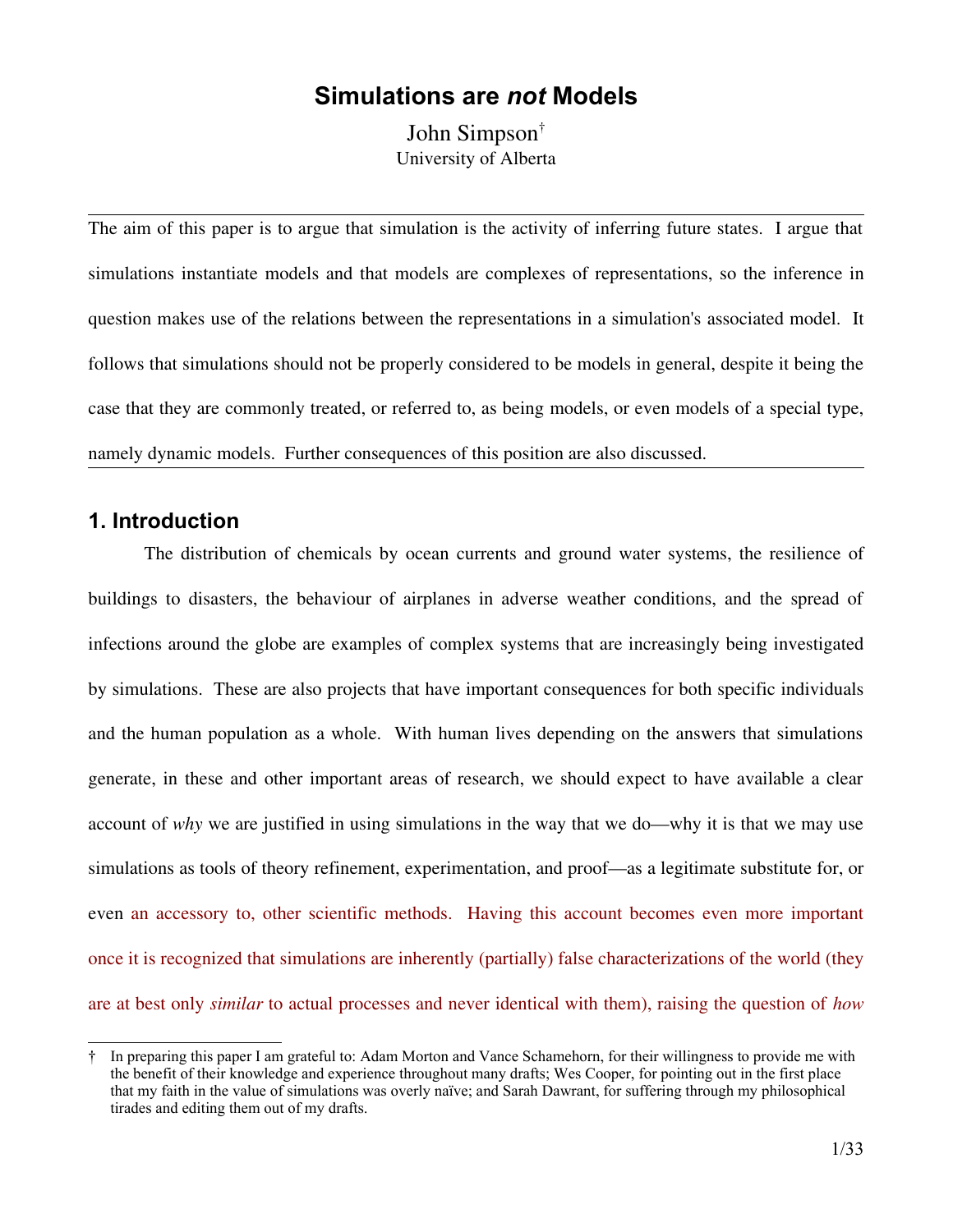# **Simulations are** *not* **Models**

John Simpson[†](#page-0-0) University of Alberta

The aim of this paper is to argue that simulation is the activity of inferring future states. I argue that simulations instantiate models and that models are complexes of representations, so the inference in question makes use of the relations between the representations in a simulation's associated model. It follows that simulations should not be properly considered to be models in general, despite it being the case that they are commonly treated, or referred to, as being models, or even models of a special type, namely dynamic models. Further consequences of this position are also discussed.

## **1. Introduction**

The distribution of chemicals by ocean currents and ground water systems, the resilience of buildings to disasters, the behaviour of airplanes in adverse weather conditions, and the spread of infections around the globe are examples of complex systems that are increasingly being investigated by simulations. These are also projects that have important consequences for both specific individuals and the human population as a whole. With human lives depending on the answers that simulations generate, in these and other important areas of research, we should expect to have available a clear account of *why* we are justified in using simulations in the way that we do—why it is that we may use simulations as tools of theory refinement, experimentation, and proof—as a legitimate substitute for, or even an accessory to, other scientific methods. Having this account becomes even more important once it is recognized that simulations are inherently (partially) false characterizations of the world (they are at best only *similar* to actual processes and never identical with them), raising the question of *how*

<span id="page-0-0"></span><sup>†</sup> In preparing this paper I am grateful to: Adam Morton and Vance Schamehorn, for their willingness to provide me with the benefit of their knowledge and experience throughout many drafts; Wes Cooper, for pointing out in the first place that my faith in the value of simulations was overly naïve; and Sarah Dawrant, for suffering through my philosophical tirades and editing them out of my drafts.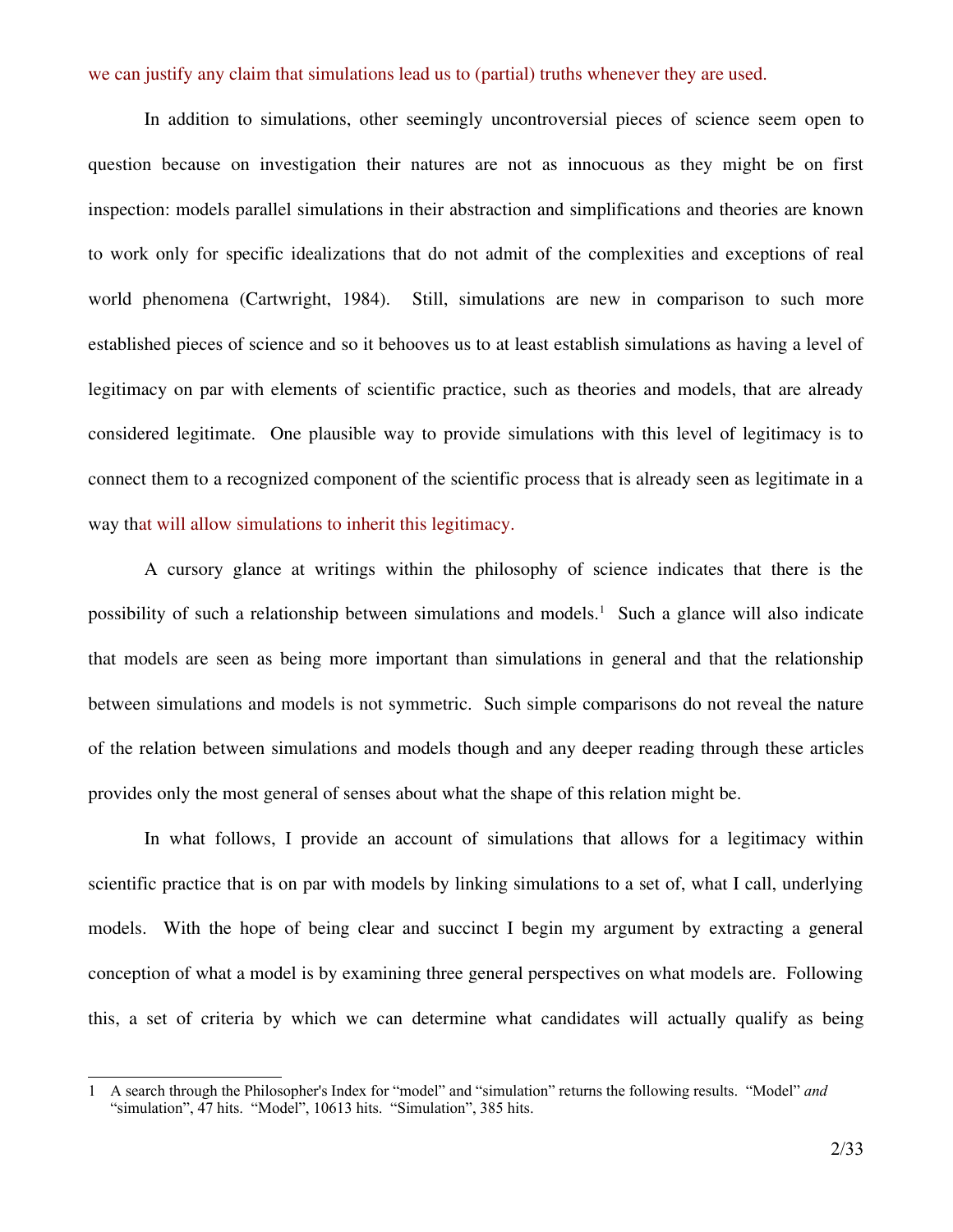we can justify any claim that simulations lead us to (partial) truths whenever they are used.

In addition to simulations, other seemingly uncontroversial pieces of science seem open to question because on investigation their natures are not as innocuous as they might be on first inspection: models parallel simulations in their abstraction and simplifications and theories are known to work only for specific idealizations that do not admit of the complexities and exceptions of real world phenomena (Cartwright, 1984). Still, simulations are new in comparison to such more established pieces of science and so it behooves us to at least establish simulations as having a level of legitimacy on par with elements of scientific practice, such as theories and models, that are already considered legitimate. One plausible way to provide simulations with this level of legitimacy is to connect them to a recognized component of the scientific process that is already seen as legitimate in a way that will allow simulations to inherit this legitimacy.

A cursory glance at writings within the philosophy of science indicates that there is the possibility of such a relationship between simulations and models. [1](#page-1-0) Such a glance will also indicate that models are seen as being more important than simulations in general and that the relationship between simulations and models is not symmetric. Such simple comparisons do not reveal the nature of the relation between simulations and models though and any deeper reading through these articles provides only the most general of senses about what the shape of this relation might be.

In what follows, I provide an account of simulations that allows for a legitimacy within scientific practice that is on par with models by linking simulations to a set of, what I call, underlying models. With the hope of being clear and succinct I begin my argument by extracting a general conception of what a model is by examining three general perspectives on what models are. Following this, a set of criteria by which we can determine what candidates will actually qualify as being

<span id="page-1-0"></span><sup>1</sup> A search through the Philosopher's Index for "model" and "simulation" returns the following results. "Model" *and* "simulation", 47 hits. "Model", 10613 hits. "Simulation", 385 hits.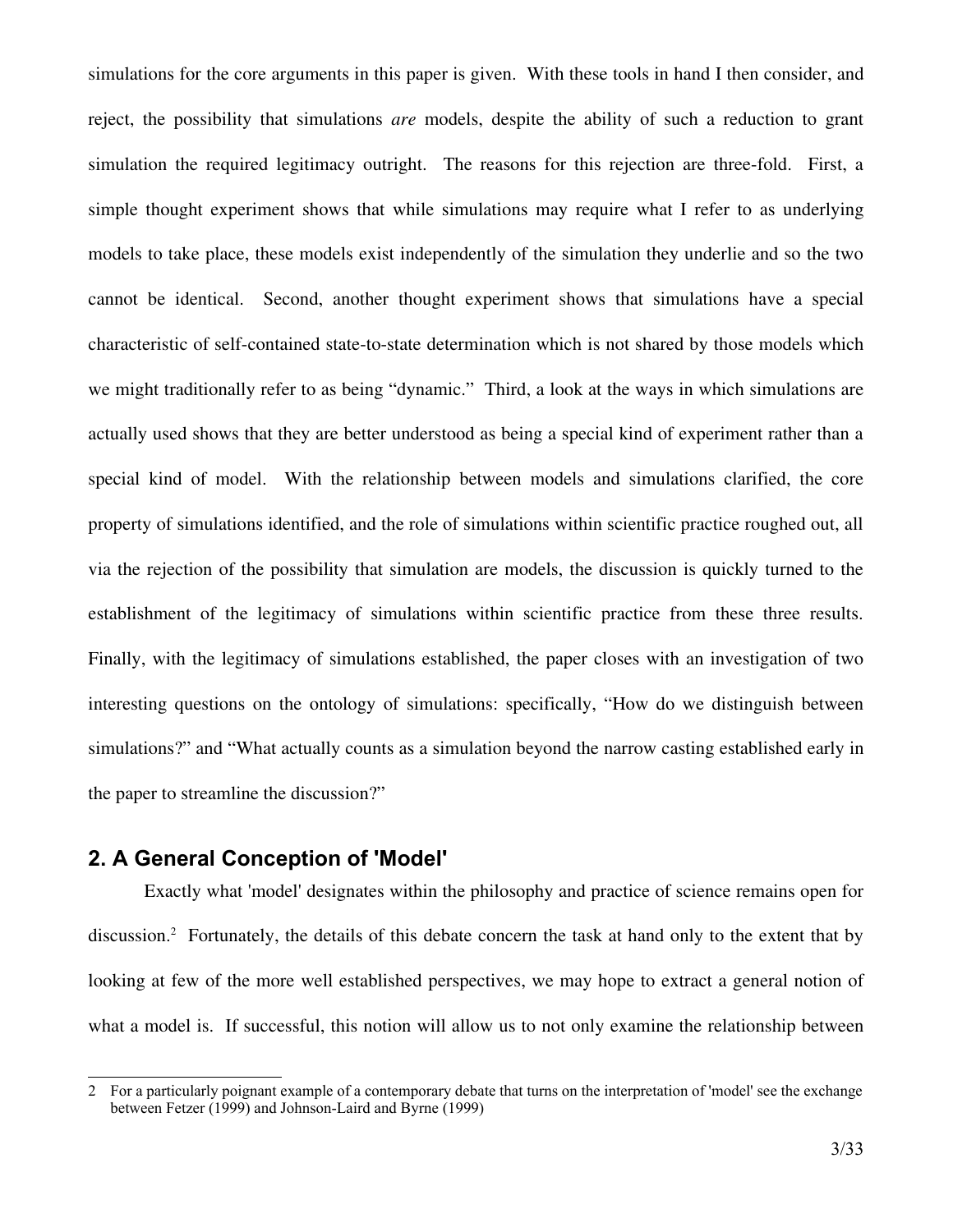simulations for the core arguments in this paper is given. With these tools in hand I then consider, and reject, the possibility that simulations *are* models, despite the ability of such a reduction to grant simulation the required legitimacy outright. The reasons for this rejection are three-fold. First, a simple thought experiment shows that while simulations may require what I refer to as underlying models to take place, these models exist independently of the simulation they underlie and so the two cannot be identical. Second, another thought experiment shows that simulations have a special characteristic of self-contained state-to-state determination which is not shared by those models which we might traditionally refer to as being "dynamic." Third, a look at the ways in which simulations are actually used shows that they are better understood as being a special kind of experiment rather than a special kind of model. With the relationship between models and simulations clarified, the core property of simulations identified, and the role of simulations within scientific practice roughed out, all via the rejection of the possibility that simulation are models, the discussion is quickly turned to the establishment of the legitimacy of simulations within scientific practice from these three results. Finally, with the legitimacy of simulations established, the paper closes with an investigation of two interesting questions on the ontology of simulations: specifically, "How do we distinguish between simulations?" and "What actually counts as a simulation beyond the narrow casting established early in the paper to streamline the discussion?"

# **2. A General Conception of 'Model'**

Exactly what 'model' designates within the philosophy and practice of science remains open for discussion.<sup>[2](#page-2-0)</sup> Fortunately, the details of this debate concern the task at hand only to the extent that by looking at few of the more well established perspectives, we may hope to extract a general notion of what a model is. If successful, this notion will allow us to not only examine the relationship between

<span id="page-2-0"></span><sup>2</sup> For a particularly poignant example of a contemporary debate that turns on the interpretation of 'model' see the exchange between Fetzer (1999) and Johnson-Laird and Byrne (1999)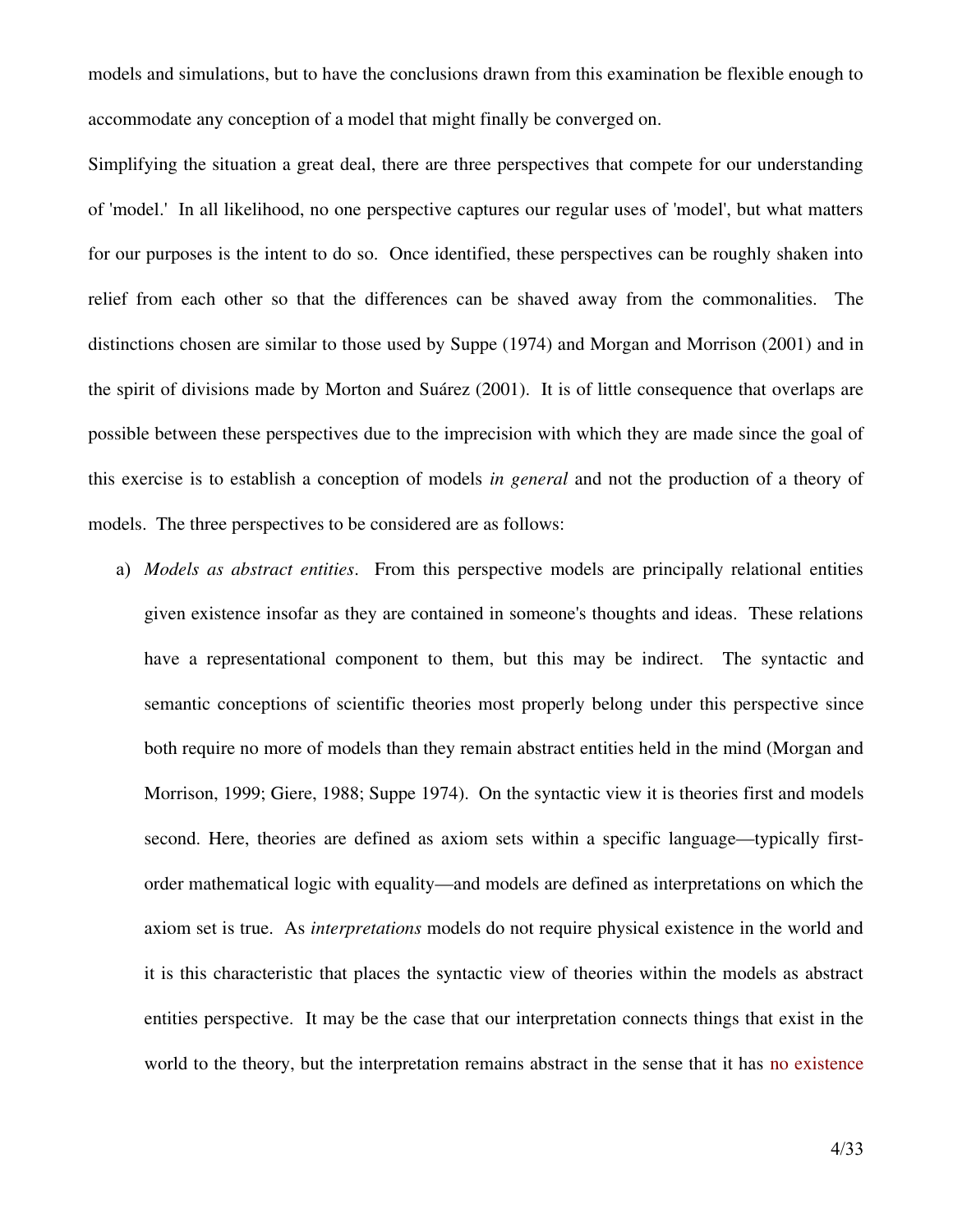models and simulations, but to have the conclusions drawn from this examination be flexible enough to accommodate any conception of a model that might finally be converged on.

Simplifying the situation a great deal, there are three perspectives that compete for our understanding of 'model.' In all likelihood, no one perspective captures our regular uses of 'model', but what matters for our purposes is the intent to do so. Once identified, these perspectives can be roughly shaken into relief from each other so that the differences can be shaved away from the commonalities. The distinctions chosen are similar to those used by Suppe (1974) and Morgan and Morrison (2001) and in the spirit of divisions made by Morton and Suárez (2001). It is of little consequence that overlaps are possible between these perspectives due to the imprecision with which they are made since the goal of this exercise is to establish a conception of models *in general* and not the production of a theory of models. The three perspectives to be considered are as follows:

a) *Models as abstract entities*. From this perspective models are principally relational entities given existence insofar as they are contained in someone's thoughts and ideas. These relations have a representational component to them, but this may be indirect. The syntactic and semantic conceptions of scientific theories most properly belong under this perspective since both require no more of models than they remain abstract entities held in the mind (Morgan and Morrison, 1999; Giere, 1988; Suppe 1974). On the syntactic view it is theories first and models second. Here, theories are defined as axiom sets within a specific language—typically firstorder mathematical logic with equality—and models are defined as interpretations on which the axiom set is true. As *interpretations* models do not require physical existence in the world and it is this characteristic that places the syntactic view of theories within the models as abstract entities perspective. It may be the case that our interpretation connects things that exist in the world to the theory, but the interpretation remains abstract in the sense that it has no existence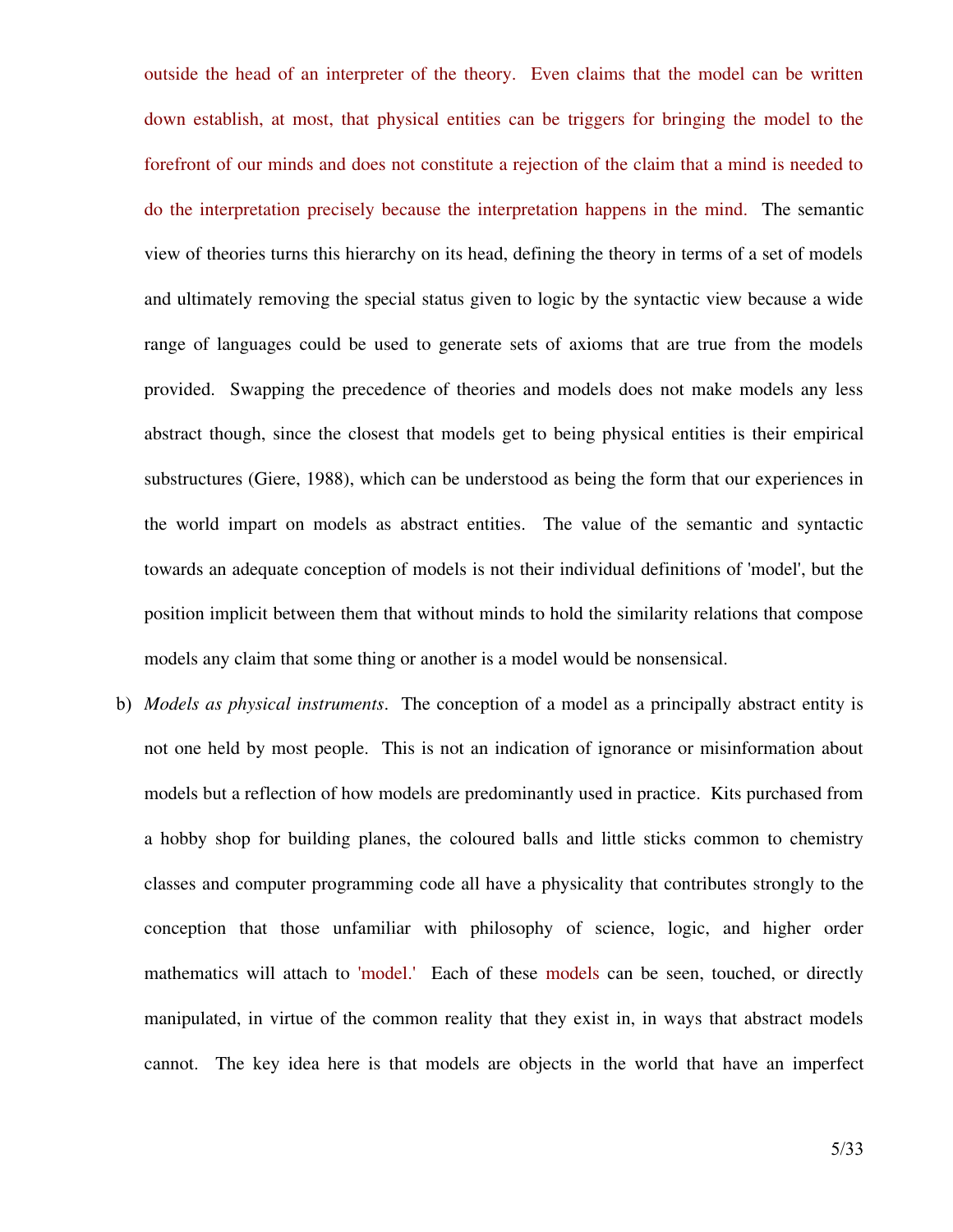outside the head of an interpreter of the theory. Even claims that the model can be written down establish, at most, that physical entities can be triggers for bringing the model to the forefront of our minds and does not constitute a rejection of the claim that a mind is needed to do the interpretation precisely because the interpretation happens in the mind. The semantic view of theories turns this hierarchy on its head, defining the theory in terms of a set of models and ultimately removing the special status given to logic by the syntactic view because a wide range of languages could be used to generate sets of axioms that are true from the models provided. Swapping the precedence of theories and models does not make models any less abstract though, since the closest that models get to being physical entities is their empirical substructures (Giere, 1988), which can be understood as being the form that our experiences in the world impart on models as abstract entities. The value of the semantic and syntactic towards an adequate conception of models is not their individual definitions of 'model', but the position implicit between them that without minds to hold the similarity relations that compose models any claim that some thing or another is a model would be nonsensical.

b) *Models as physical instruments*. The conception of a model as a principally abstract entity is not one held by most people. This is not an indication of ignorance or misinformation about models but a reflection of how models are predominantly used in practice. Kits purchased from a hobby shop for building planes, the coloured balls and little sticks common to chemistry classes and computer programming code all have a physicality that contributes strongly to the conception that those unfamiliar with philosophy of science, logic, and higher order mathematics will attach to 'model.' Each of these models can be seen, touched, or directly manipulated, in virtue of the common reality that they exist in, in ways that abstract models cannot. The key idea here is that models are objects in the world that have an imperfect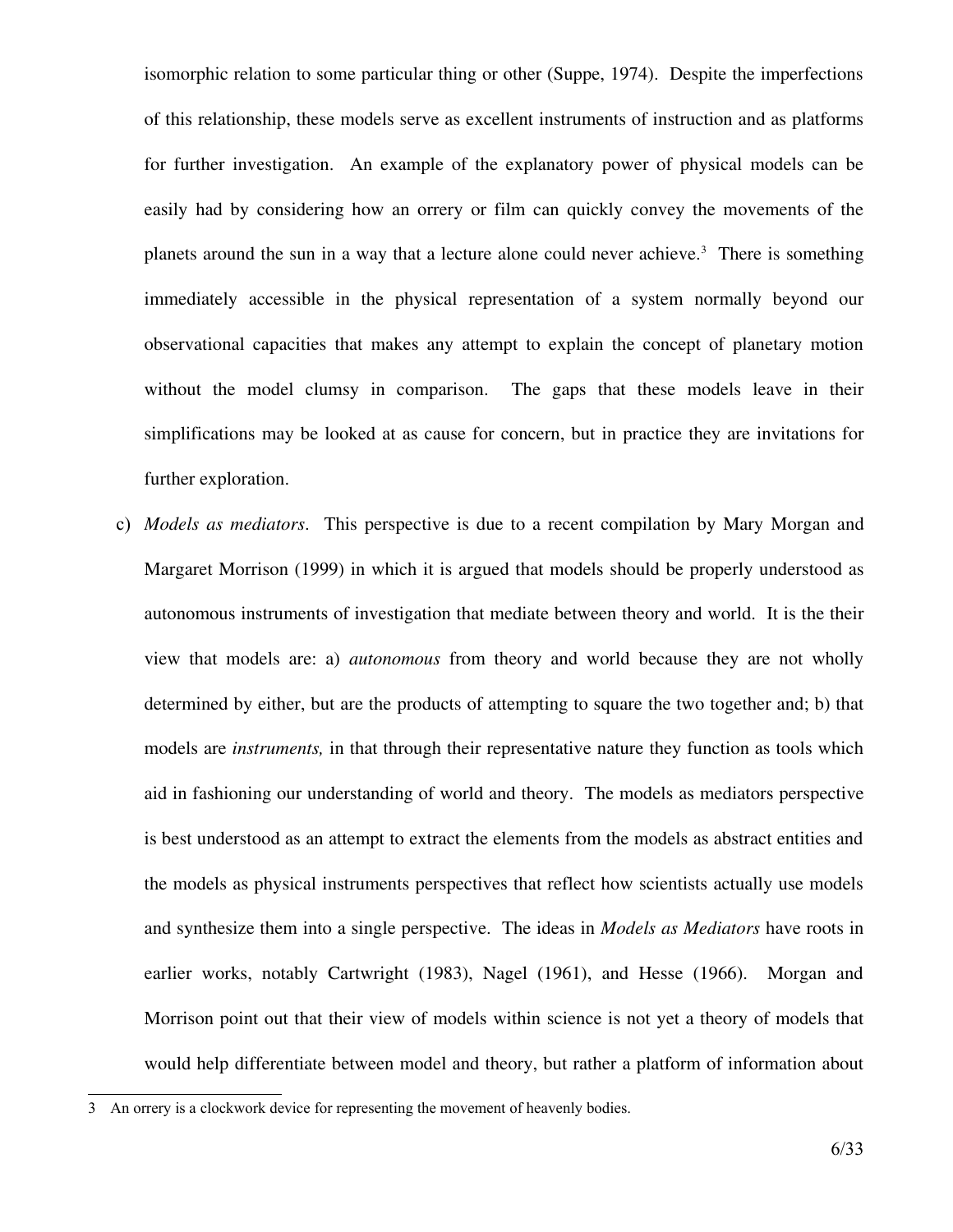isomorphic relation to some particular thing or other (Suppe, 1974). Despite the imperfections of this relationship, these models serve as excellent instruments of instruction and as platforms for further investigation. An example of the explanatory power of physical models can be easily had by considering how an orrery or film can quickly convey the movements of the planets around the sun in a way that a lecture alone could never achieve. [3](#page-5-0) There is something immediately accessible in the physical representation of a system normally beyond our observational capacities that makes any attempt to explain the concept of planetary motion without the model clumsy in comparison. The gaps that these models leave in their simplifications may be looked at as cause for concern, but in practice they are invitations for further exploration.

c) *Models as mediators*. This perspective is due to a recent compilation by Mary Morgan and Margaret Morrison (1999) in which it is argued that models should be properly understood as autonomous instruments of investigation that mediate between theory and world. It is the their view that models are: a) *autonomous* from theory and world because they are not wholly determined by either, but are the products of attempting to square the two together and; b) that models are *instruments,* in that through their representative nature they function as tools which aid in fashioning our understanding of world and theory. The models as mediators perspective is best understood as an attempt to extract the elements from the models as abstract entities and the models as physical instruments perspectives that reflect how scientists actually use models and synthesize them into a single perspective. The ideas in *Models as Mediators* have roots in earlier works, notably Cartwright (1983), Nagel (1961), and Hesse (1966). Morgan and Morrison point out that their view of models within science is not yet a theory of models that would help differentiate between model and theory, but rather a platform of information about

<span id="page-5-0"></span><sup>3</sup> An orrery is a clockwork device for representing the movement of heavenly bodies.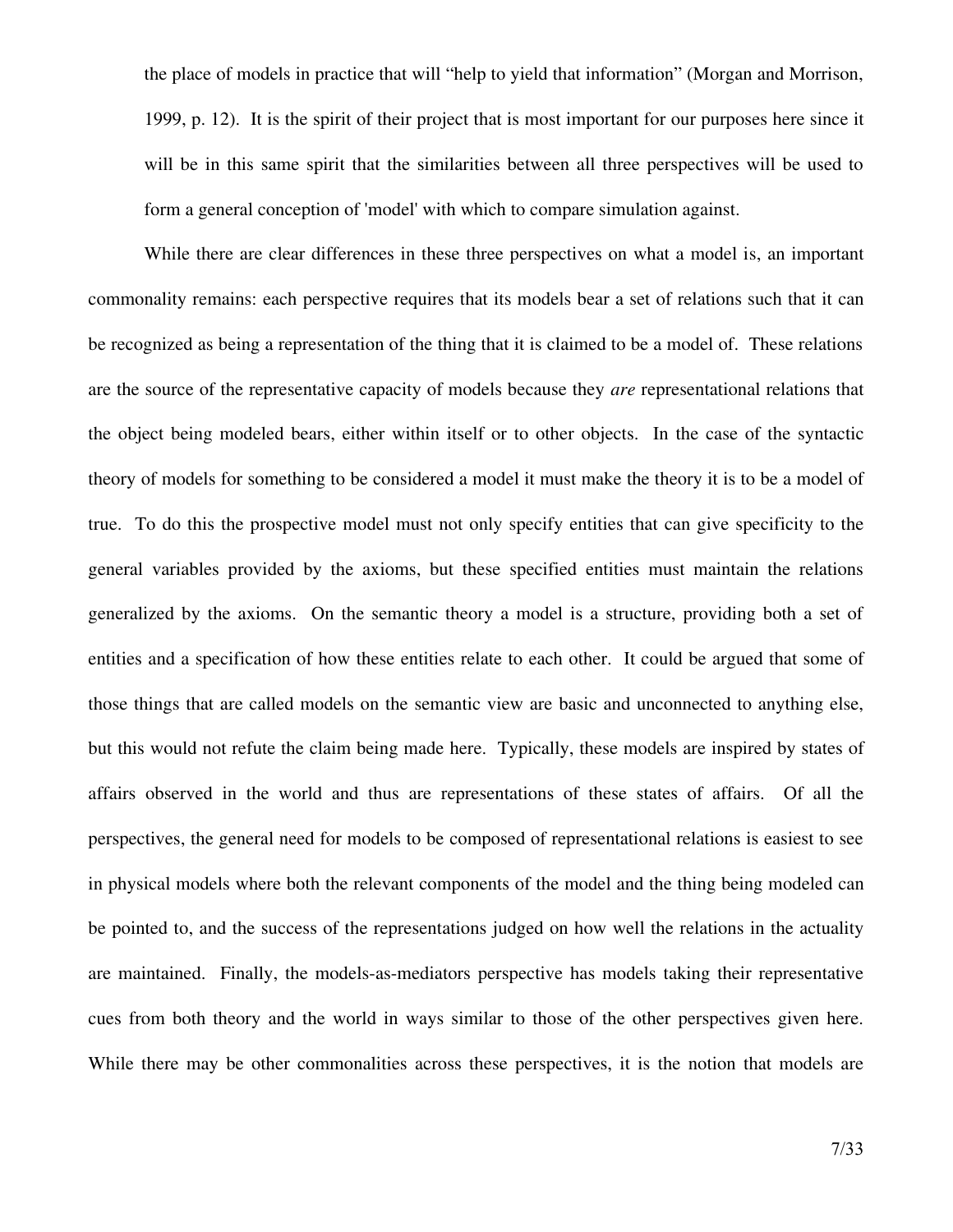the place of models in practice that will "help to yield that information" (Morgan and Morrison, 1999, p. 12). It is the spirit of their project that is most important for our purposes here since it will be in this same spirit that the similarities between all three perspectives will be used to form a general conception of 'model' with which to compare simulation against.

While there are clear differences in these three perspectives on what a model is, an important commonality remains: each perspective requires that its models bear a set of relations such that it can be recognized as being a representation of the thing that it is claimed to be a model of. These relations are the source of the representative capacity of models because they *are* representational relations that the object being modeled bears, either within itself or to other objects. In the case of the syntactic theory of models for something to be considered a model it must make the theory it is to be a model of true. To do this the prospective model must not only specify entities that can give specificity to the general variables provided by the axioms, but these specified entities must maintain the relations generalized by the axioms. On the semantic theory a model is a structure, providing both a set of entities and a specification of how these entities relate to each other. It could be argued that some of those things that are called models on the semantic view are basic and unconnected to anything else, but this would not refute the claim being made here. Typically, these models are inspired by states of affairs observed in the world and thus are representations of these states of affairs. Of all the perspectives, the general need for models to be composed of representational relations is easiest to see in physical models where both the relevant components of the model and the thing being modeled can be pointed to, and the success of the representations judged on how well the relations in the actuality are maintained. Finally, the models-as-mediators perspective has models taking their representative cues from both theory and the world in ways similar to those of the other perspectives given here. While there may be other commonalities across these perspectives, it is the notion that models are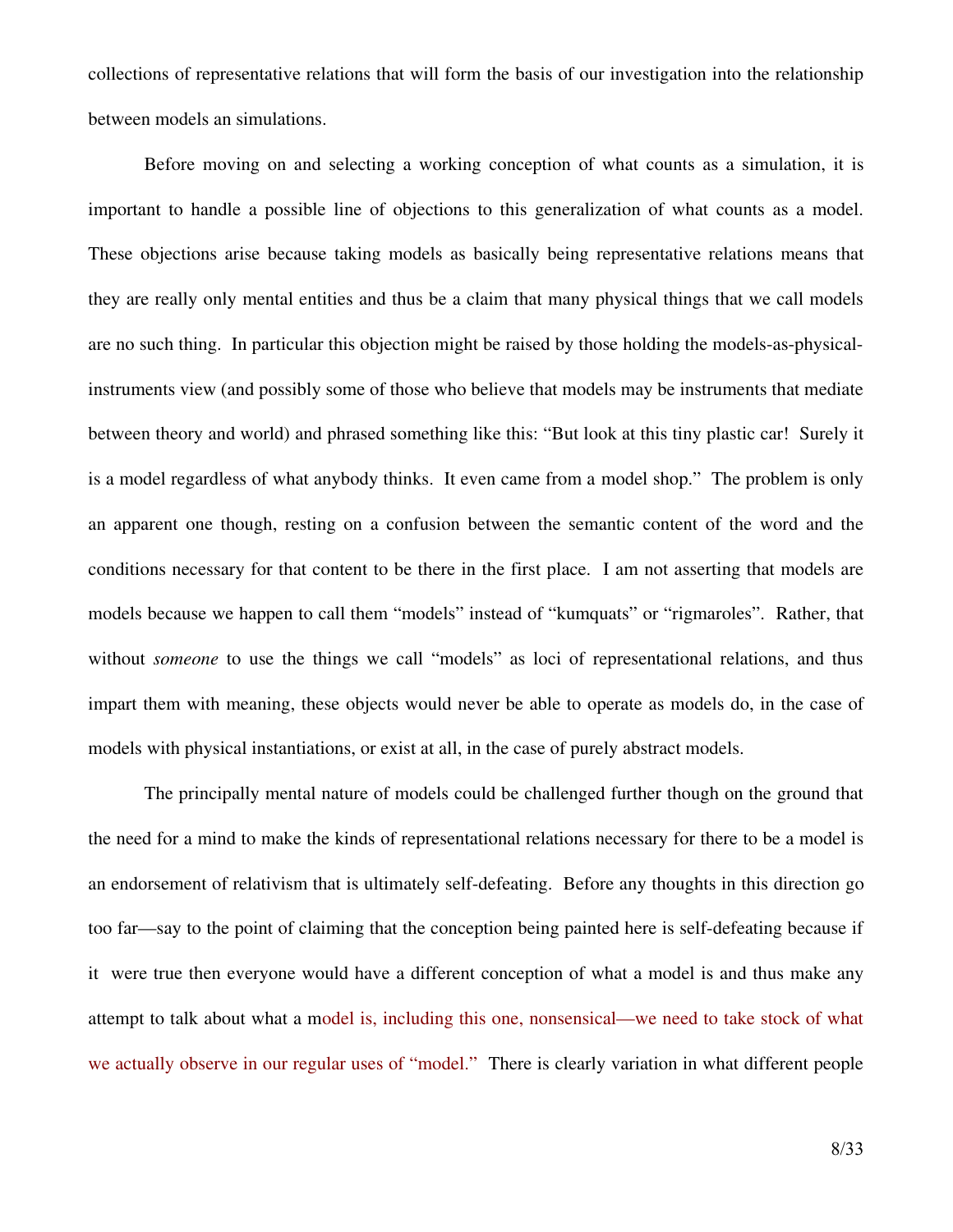collections of representative relations that will form the basis of our investigation into the relationship between models an simulations.

Before moving on and selecting a working conception of what counts as a simulation, it is important to handle a possible line of objections to this generalization of what counts as a model. These objections arise because taking models as basically being representative relations means that they are really only mental entities and thus be a claim that many physical things that we call models are no such thing. In particular this objection might be raised by those holding the models-as-physicalinstruments view (and possibly some of those who believe that models may be instruments that mediate between theory and world) and phrased something like this: "But look at this tiny plastic car! Surely it is a model regardless of what anybody thinks. It even came from a model shop." The problem is only an apparent one though, resting on a confusion between the semantic content of the word and the conditions necessary for that content to be there in the first place. I am not asserting that models are models because we happen to call them "models" instead of "kumquats" or "rigmaroles". Rather, that without *someone* to use the things we call "models" as loci of representational relations, and thus impart them with meaning, these objects would never be able to operate as models do, in the case of models with physical instantiations, or exist at all, in the case of purely abstract models.

The principally mental nature of models could be challenged further though on the ground that the need for a mind to make the kinds of representational relations necessary for there to be a model is an endorsement of relativism that is ultimately self-defeating. Before any thoughts in this direction go too far—say to the point of claiming that the conception being painted here is self-defeating because if it were true then everyone would have a different conception of what a model is and thus make any attempt to talk about what a model is, including this one, nonsensical—we need to take stock of what we actually observe in our regular uses of "model." There is clearly variation in what different people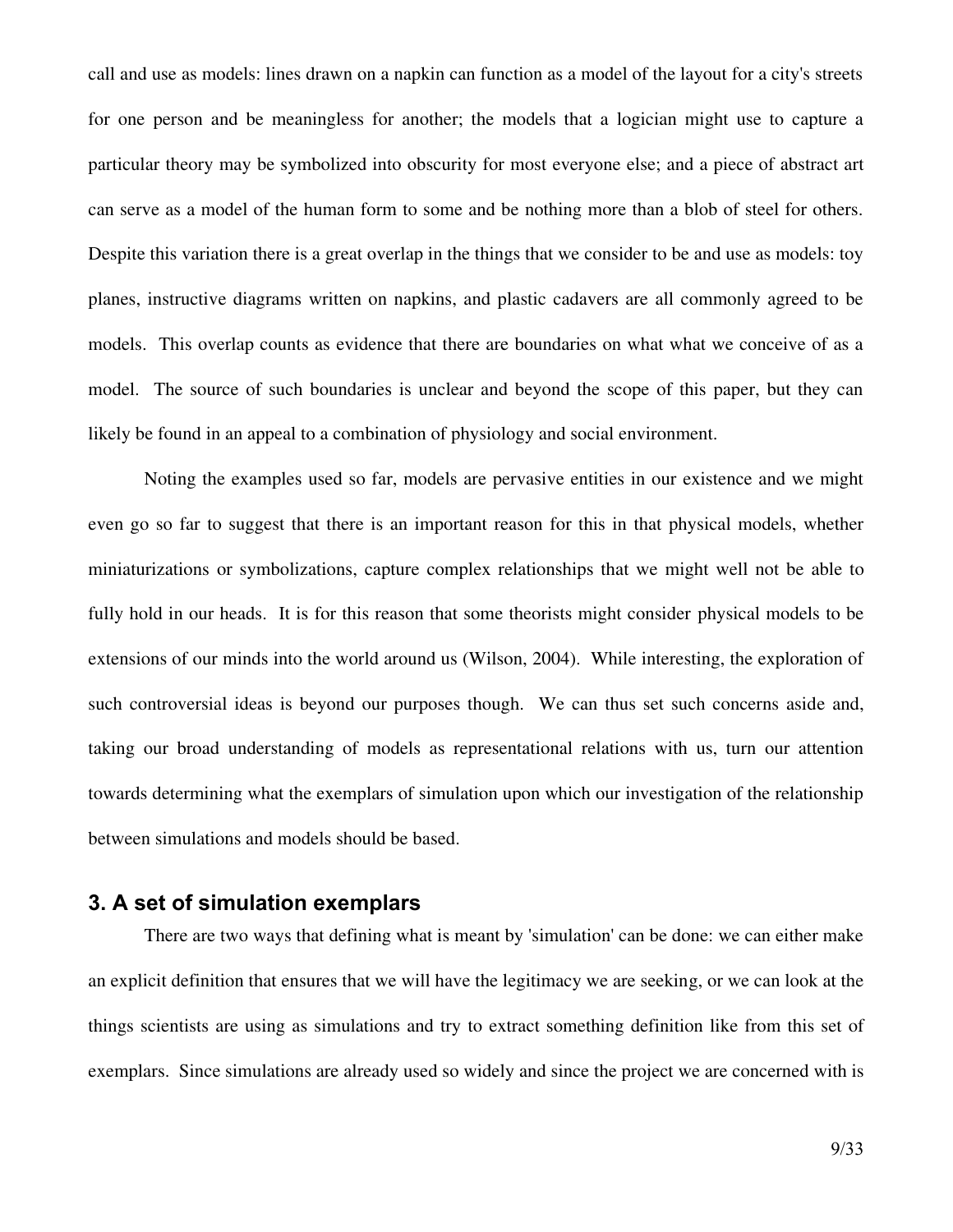call and use as models: lines drawn on a napkin can function as a model of the layout for a city's streets for one person and be meaningless for another; the models that a logician might use to capture a particular theory may be symbolized into obscurity for most everyone else; and a piece of abstract art can serve as a model of the human form to some and be nothing more than a blob of steel for others. Despite this variation there is a great overlap in the things that we consider to be and use as models: toy planes, instructive diagrams written on napkins, and plastic cadavers are all commonly agreed to be models. This overlap counts as evidence that there are boundaries on what what we conceive of as a model. The source of such boundaries is unclear and beyond the scope of this paper, but they can likely be found in an appeal to a combination of physiology and social environment.

Noting the examples used so far, models are pervasive entities in our existence and we might even go so far to suggest that there is an important reason for this in that physical models, whether miniaturizations or symbolizations, capture complex relationships that we might well not be able to fully hold in our heads. It is for this reason that some theorists might consider physical models to be extensions of our minds into the world around us (Wilson, 2004). While interesting, the exploration of such controversial ideas is beyond our purposes though. We can thus set such concerns aside and, taking our broad understanding of models as representational relations with us, turn our attention towards determining what the exemplars of simulation upon which our investigation of the relationship between simulations and models should be based.

## **3. A set of simulation exemplars**

There are two ways that defining what is meant by 'simulation' can be done: we can either make an explicit definition that ensures that we will have the legitimacy we are seeking, or we can look at the things scientists are using as simulations and try to extract something definition like from this set of exemplars. Since simulations are already used so widely and since the project we are concerned with is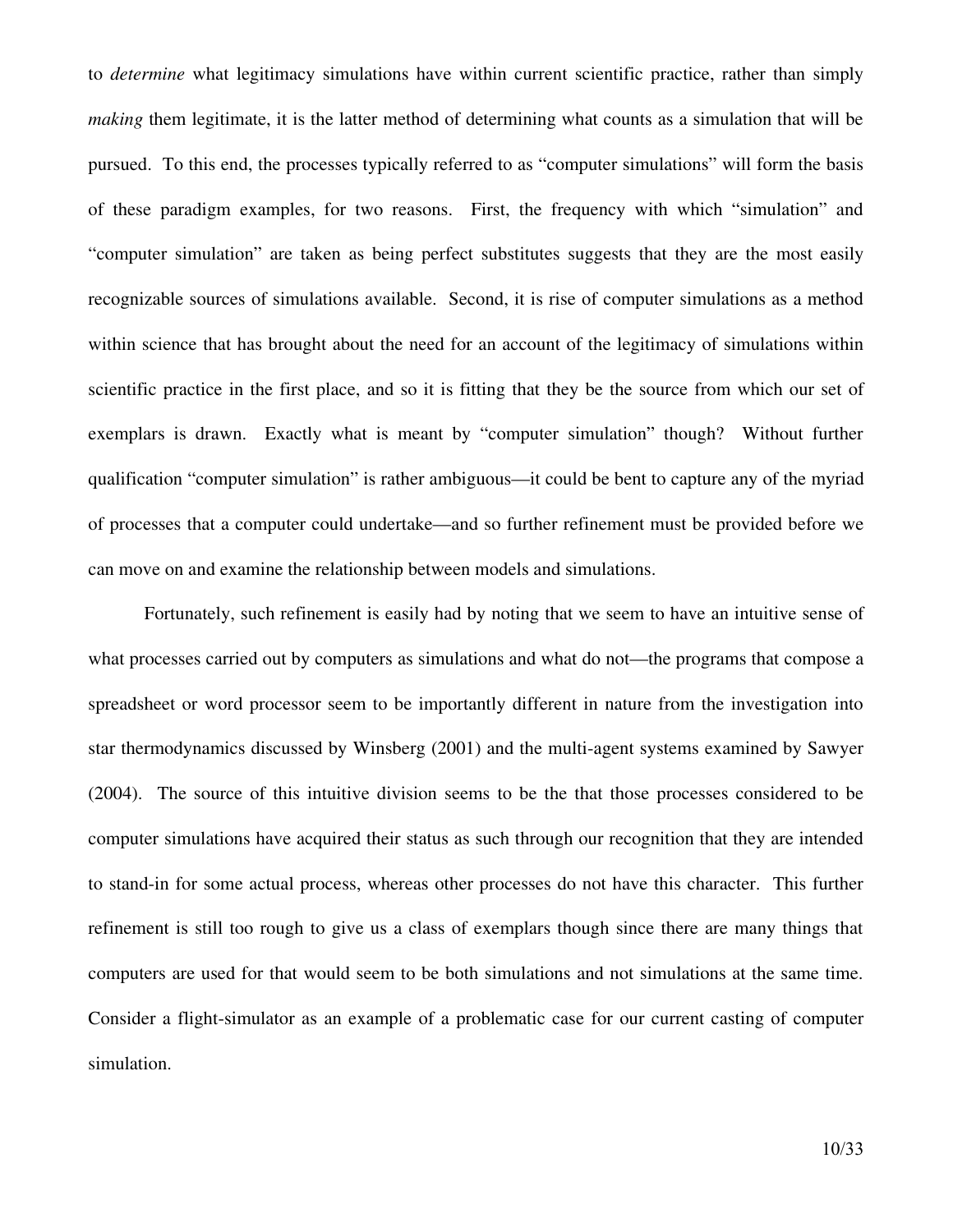to *determine* what legitimacy simulations have within current scientific practice, rather than simply *making* them legitimate, it is the latter method of determining what counts as a simulation that will be pursued. To this end, the processes typically referred to as "computer simulations" will form the basis of these paradigm examples, for two reasons. First, the frequency with which "simulation" and "computer simulation" are taken as being perfect substitutes suggests that they are the most easily recognizable sources of simulations available. Second, it is rise of computer simulations as a method within science that has brought about the need for an account of the legitimacy of simulations within scientific practice in the first place, and so it is fitting that they be the source from which our set of exemplars is drawn. Exactly what is meant by "computer simulation" though? Without further qualification "computer simulation" is rather ambiguous—it could be bent to capture any of the myriad of processes that a computer could undertake—and so further refinement must be provided before we can move on and examine the relationship between models and simulations.

Fortunately, such refinement is easily had by noting that we seem to have an intuitive sense of what processes carried out by computers as simulations and what do not—the programs that compose a spreadsheet or word processor seem to be importantly different in nature from the investigation into star thermodynamics discussed by Winsberg (2001) and the multi-agent systems examined by Sawyer (2004). The source of this intuitive division seems to be the that those processes considered to be computer simulations have acquired their status as such through our recognition that they are intended to stand-in for some actual process, whereas other processes do not have this character. This further refinement is still too rough to give us a class of exemplars though since there are many things that computers are used for that would seem to be both simulations and not simulations at the same time. Consider a flight-simulator as an example of a problematic case for our current casting of computer simulation.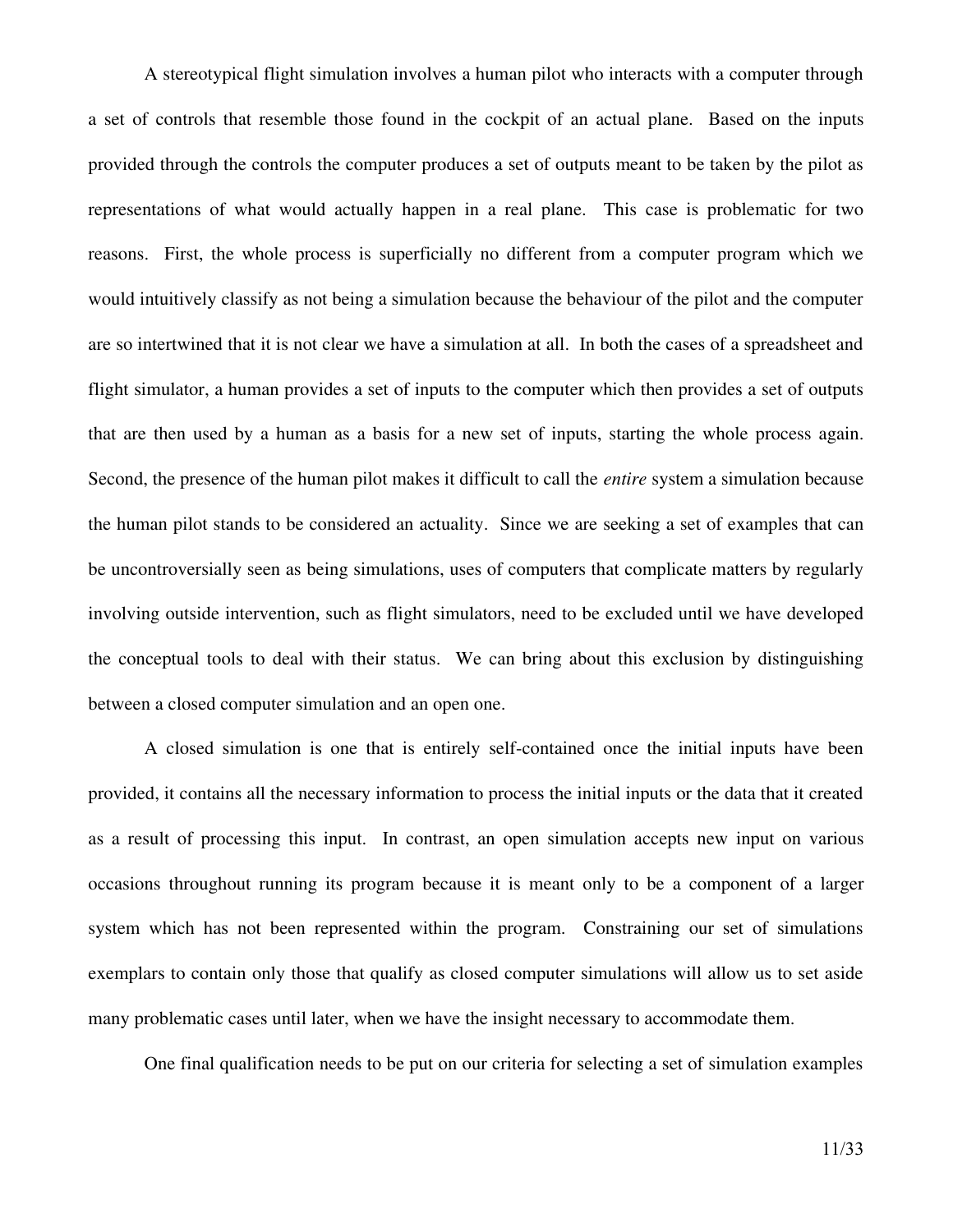A stereotypical flight simulation involves a human pilot who interacts with a computer through a set of controls that resemble those found in the cockpit of an actual plane. Based on the inputs provided through the controls the computer produces a set of outputs meant to be taken by the pilot as representations of what would actually happen in a real plane. This case is problematic for two reasons. First, the whole process is superficially no different from a computer program which we would intuitively classify as not being a simulation because the behaviour of the pilot and the computer are so intertwined that it is not clear we have a simulation at all. In both the cases of a spreadsheet and flight simulator, a human provides a set of inputs to the computer which then provides a set of outputs that are then used by a human as a basis for a new set of inputs, starting the whole process again. Second, the presence of the human pilot makes it difficult to call the *entire* system a simulation because the human pilot stands to be considered an actuality. Since we are seeking a set of examples that can be uncontroversially seen as being simulations, uses of computers that complicate matters by regularly involving outside intervention, such as flight simulators, need to be excluded until we have developed the conceptual tools to deal with their status. We can bring about this exclusion by distinguishing between a closed computer simulation and an open one.

A closed simulation is one that is entirely self-contained once the initial inputs have been provided, it contains all the necessary information to process the initial inputs or the data that it created as a result of processing this input. In contrast, an open simulation accepts new input on various occasions throughout running its program because it is meant only to be a component of a larger system which has not been represented within the program. Constraining our set of simulations exemplars to contain only those that qualify as closed computer simulations will allow us to set aside many problematic cases until later, when we have the insight necessary to accommodate them.

One final qualification needs to be put on our criteria for selecting a set of simulation examples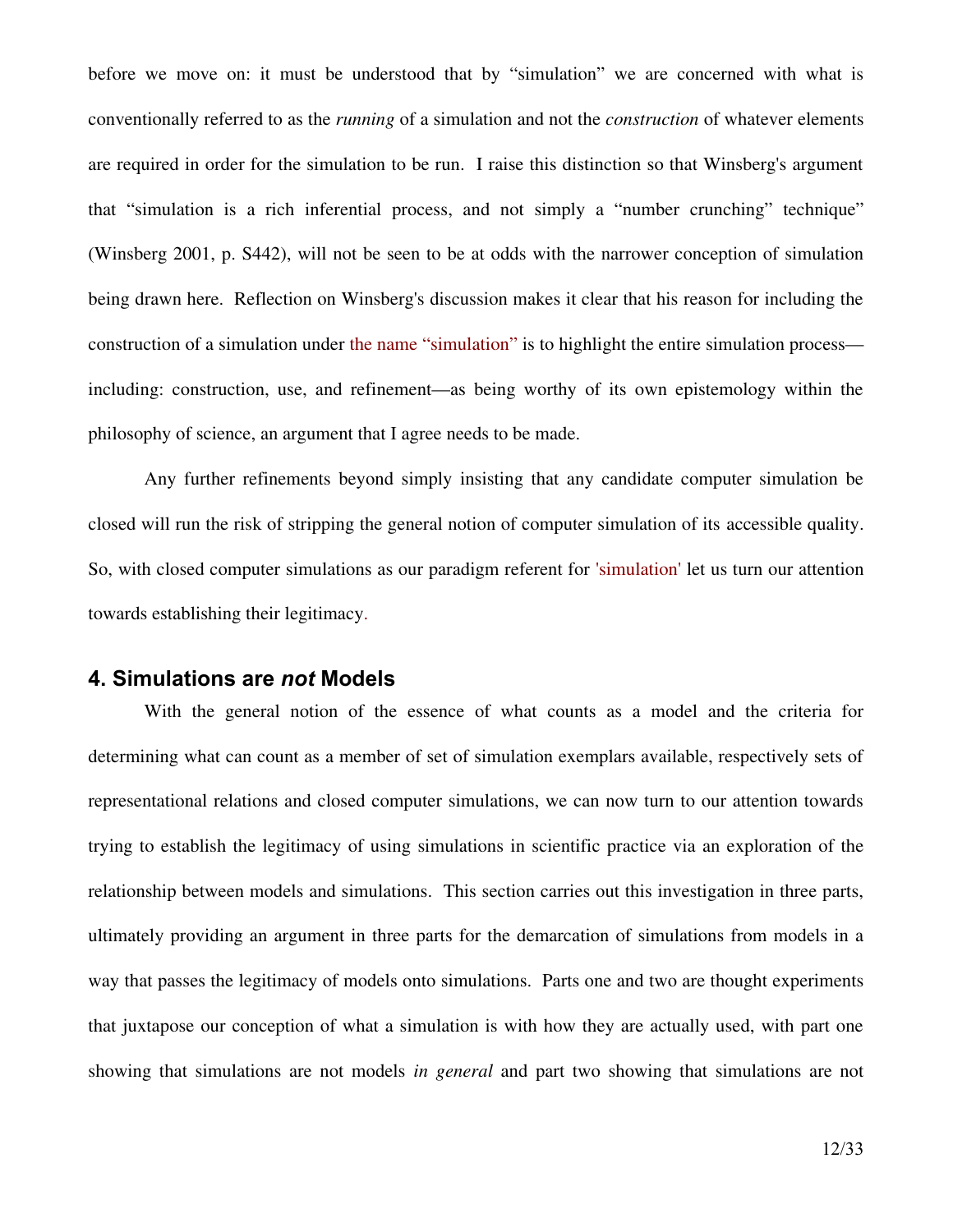before we move on: it must be understood that by "simulation" we are concerned with what is conventionally referred to as the *running* of a simulation and not the *construction* of whatever elements are required in order for the simulation to be run. I raise this distinction so that Winsberg's argument that "simulation is a rich inferential process, and not simply a "number crunching" technique" (Winsberg 2001, p. S442), will not be seen to be at odds with the narrower conception of simulation being drawn here. Reflection on Winsberg's discussion makes it clear that his reason for including the construction of a simulation under the name "simulation" is to highlight the entire simulation process including: construction, use, and refinement—as being worthy of its own epistemology within the philosophy of science, an argument that I agree needs to be made.

Any further refinements beyond simply insisting that any candidate computer simulation be closed will run the risk of stripping the general notion of computer simulation of its accessible quality. So, with closed computer simulations as our paradigm referent for 'simulation' let us turn our attention towards establishing their legitimacy.

### **4. Simulations are** *not* **Models**

With the general notion of the essence of what counts as a model and the criteria for determining what can count as a member of set of simulation exemplars available, respectively sets of representational relations and closed computer simulations, we can now turn to our attention towards trying to establish the legitimacy of using simulations in scientific practice via an exploration of the relationship between models and simulations. This section carries out this investigation in three parts, ultimately providing an argument in three parts for the demarcation of simulations from models in a way that passes the legitimacy of models onto simulations. Parts one and two are thought experiments that juxtapose our conception of what a simulation is with how they are actually used, with part one showing that simulations are not models *in general* and part two showing that simulations are not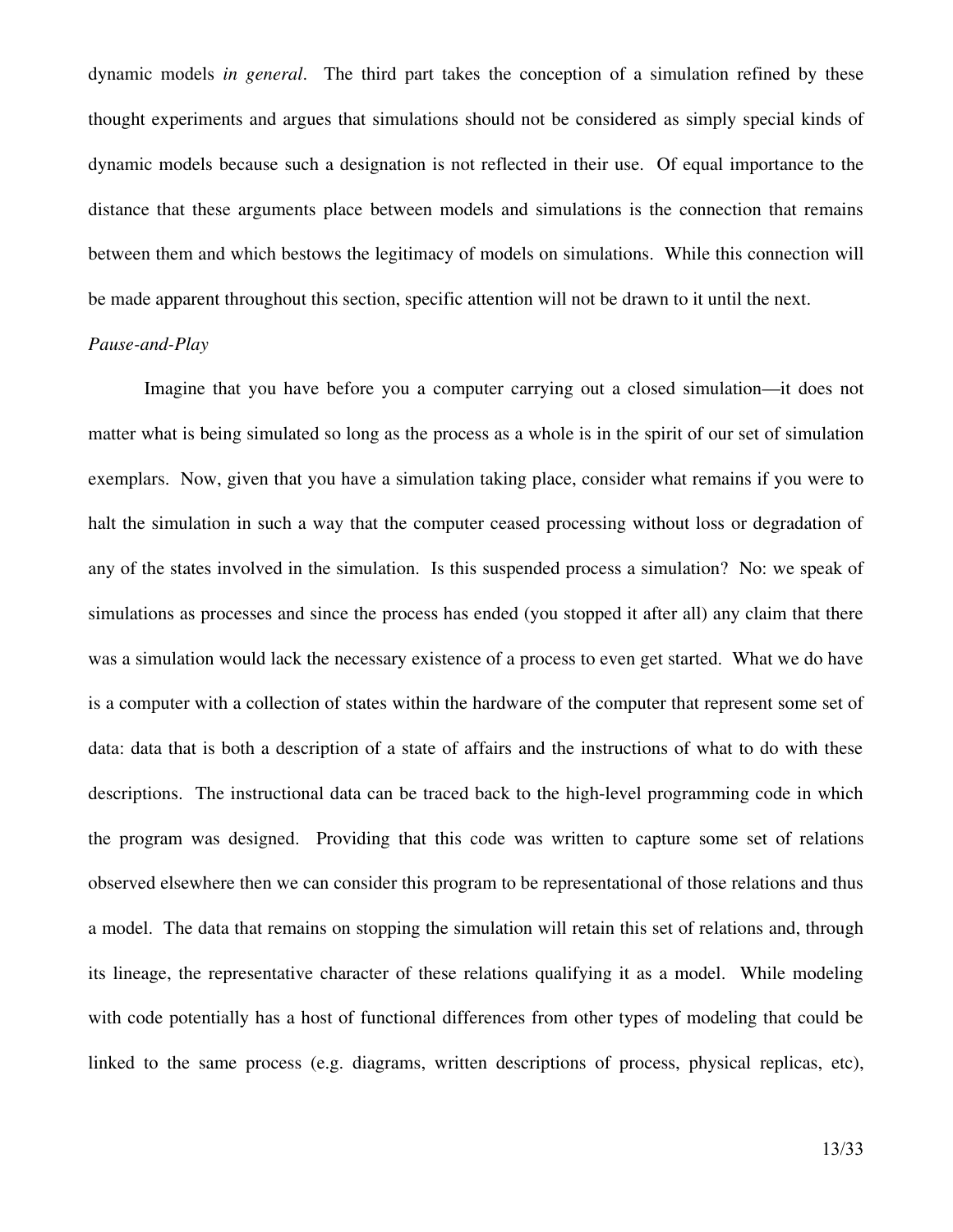dynamic models *in general*. The third part takes the conception of a simulation refined by these thought experiments and argues that simulations should not be considered as simply special kinds of dynamic models because such a designation is not reflected in their use. Of equal importance to the distance that these arguments place between models and simulations is the connection that remains between them and which bestows the legitimacy of models on simulations. While this connection will be made apparent throughout this section, specific attention will not be drawn to it until the next.

### *Pause-and-Play*

Imagine that you have before you a computer carrying out a closed simulation—it does not matter what is being simulated so long as the process as a whole is in the spirit of our set of simulation exemplars. Now, given that you have a simulation taking place, consider what remains if you were to halt the simulation in such a way that the computer ceased processing without loss or degradation of any of the states involved in the simulation. Is this suspended process a simulation? No: we speak of simulations as processes and since the process has ended (you stopped it after all) any claim that there was a simulation would lack the necessary existence of a process to even get started. What we do have is a computer with a collection of states within the hardware of the computer that represent some set of data: data that is both a description of a state of affairs and the instructions of what to do with these descriptions. The instructional data can be traced back to the high-level programming code in which the program was designed. Providing that this code was written to capture some set of relations observed elsewhere then we can consider this program to be representational of those relations and thus a model. The data that remains on stopping the simulation will retain this set of relations and, through its lineage, the representative character of these relations qualifying it as a model. While modeling with code potentially has a host of functional differences from other types of modeling that could be linked to the same process (e.g. diagrams, written descriptions of process, physical replicas, etc),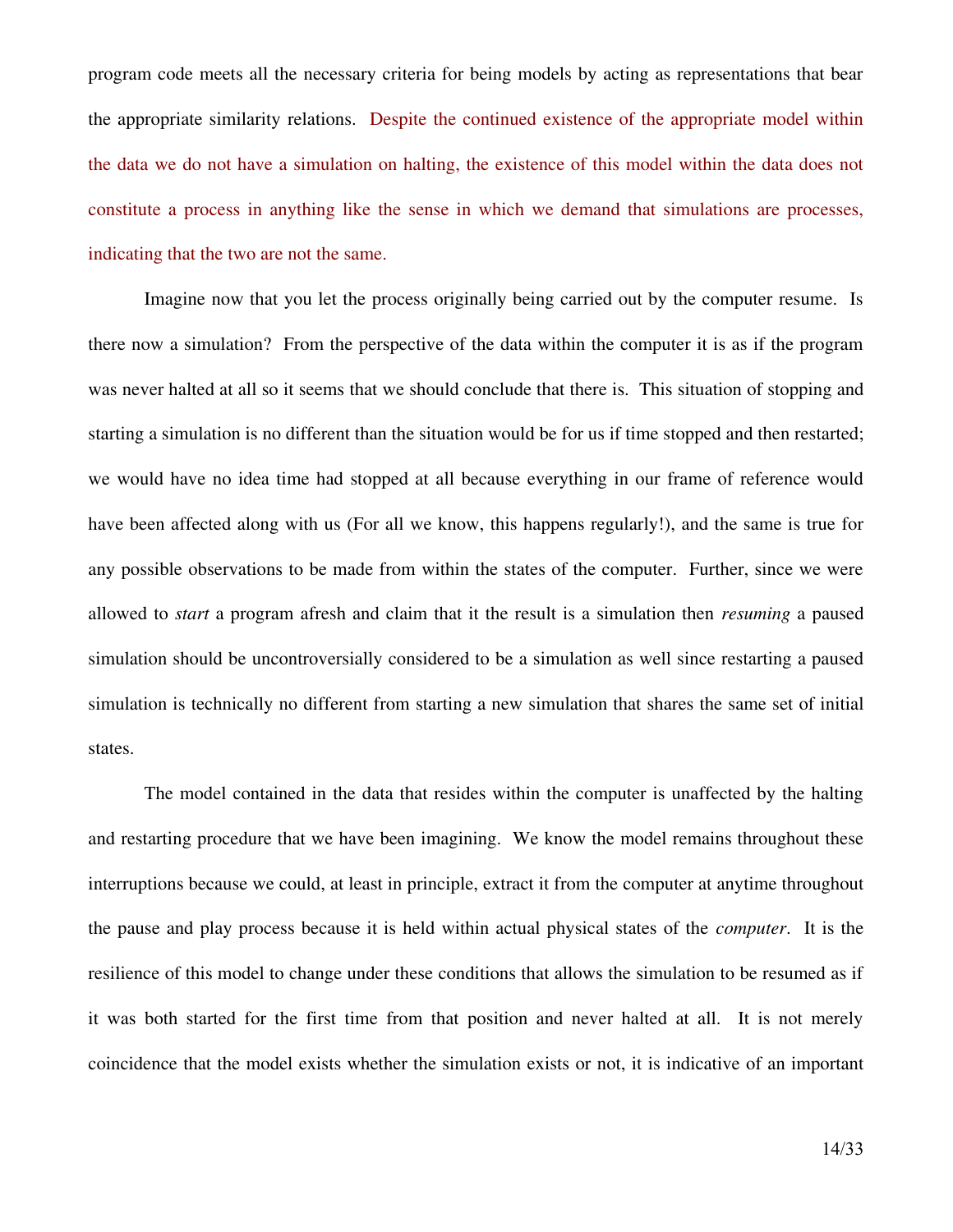program code meets all the necessary criteria for being models by acting as representations that bear the appropriate similarity relations. Despite the continued existence of the appropriate model within the data we do not have a simulation on halting, the existence of this model within the data does not constitute a process in anything like the sense in which we demand that simulations are processes, indicating that the two are not the same.

Imagine now that you let the process originally being carried out by the computer resume. Is there now a simulation? From the perspective of the data within the computer it is as if the program was never halted at all so it seems that we should conclude that there is. This situation of stopping and starting a simulation is no different than the situation would be for us if time stopped and then restarted; we would have no idea time had stopped at all because everything in our frame of reference would have been affected along with us (For all we know, this happens regularly!), and the same is true for any possible observations to be made from within the states of the computer. Further, since we were allowed to *start* a program afresh and claim that it the result is a simulation then *resuming* a paused simulation should be uncontroversially considered to be a simulation as well since restarting a paused simulation is technically no different from starting a new simulation that shares the same set of initial states.

The model contained in the data that resides within the computer is unaffected by the halting and restarting procedure that we have been imagining. We know the model remains throughout these interruptions because we could, at least in principle, extract it from the computer at anytime throughout the pause and play process because it is held within actual physical states of the *computer*. It is the resilience of this model to change under these conditions that allows the simulation to be resumed as if it was both started for the first time from that position and never halted at all. It is not merely coincidence that the model exists whether the simulation exists or not, it is indicative of an important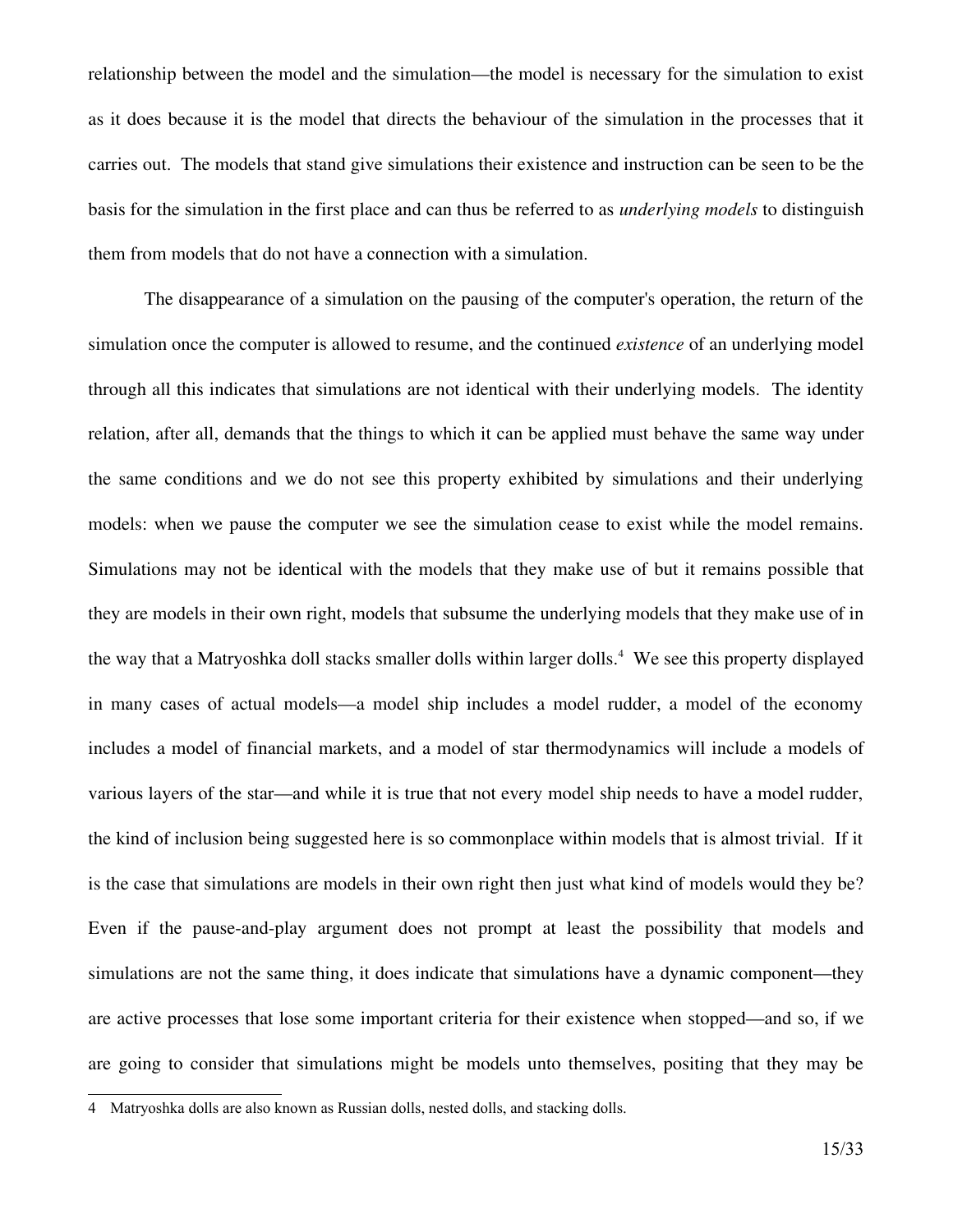relationship between the model and the simulation—the model is necessary for the simulation to exist as it does because it is the model that directs the behaviour of the simulation in the processes that it carries out. The models that stand give simulations their existence and instruction can be seen to be the basis for the simulation in the first place and can thus be referred to as *underlying models* to distinguish them from models that do not have a connection with a simulation.

The disappearance of a simulation on the pausing of the computer's operation, the return of the simulation once the computer is allowed to resume, and the continued *existence* of an underlying model through all this indicates that simulations are not identical with their underlying models. The identity relation, after all, demands that the things to which it can be applied must behave the same way under the same conditions and we do not see this property exhibited by simulations and their underlying models: when we pause the computer we see the simulation cease to exist while the model remains. Simulations may not be identical with the models that they make use of but it remains possible that they are models in their own right, models that subsume the underlying models that they make use of in the way that a Matryoshka doll stacks smaller dolls within larger dolls. [4](#page-14-0) We see this property displayed in many cases of actual models—a model ship includes a model rudder, a model of the economy includes a model of financial markets, and a model of star thermodynamics will include a models of various layers of the star—and while it is true that not every model ship needs to have a model rudder, the kind of inclusion being suggested here is so commonplace within models that is almost trivial. If it is the case that simulations are models in their own right then just what kind of models would they be? Even if the pause-and-play argument does not prompt at least the possibility that models and simulations are not the same thing, it does indicate that simulations have a dynamic component—they are active processes that lose some important criteria for their existence when stopped—and so, if we are going to consider that simulations might be models unto themselves, positing that they may be

<span id="page-14-0"></span><sup>4</sup> Matryoshka dolls are also known as Russian dolls, nested dolls, and stacking dolls.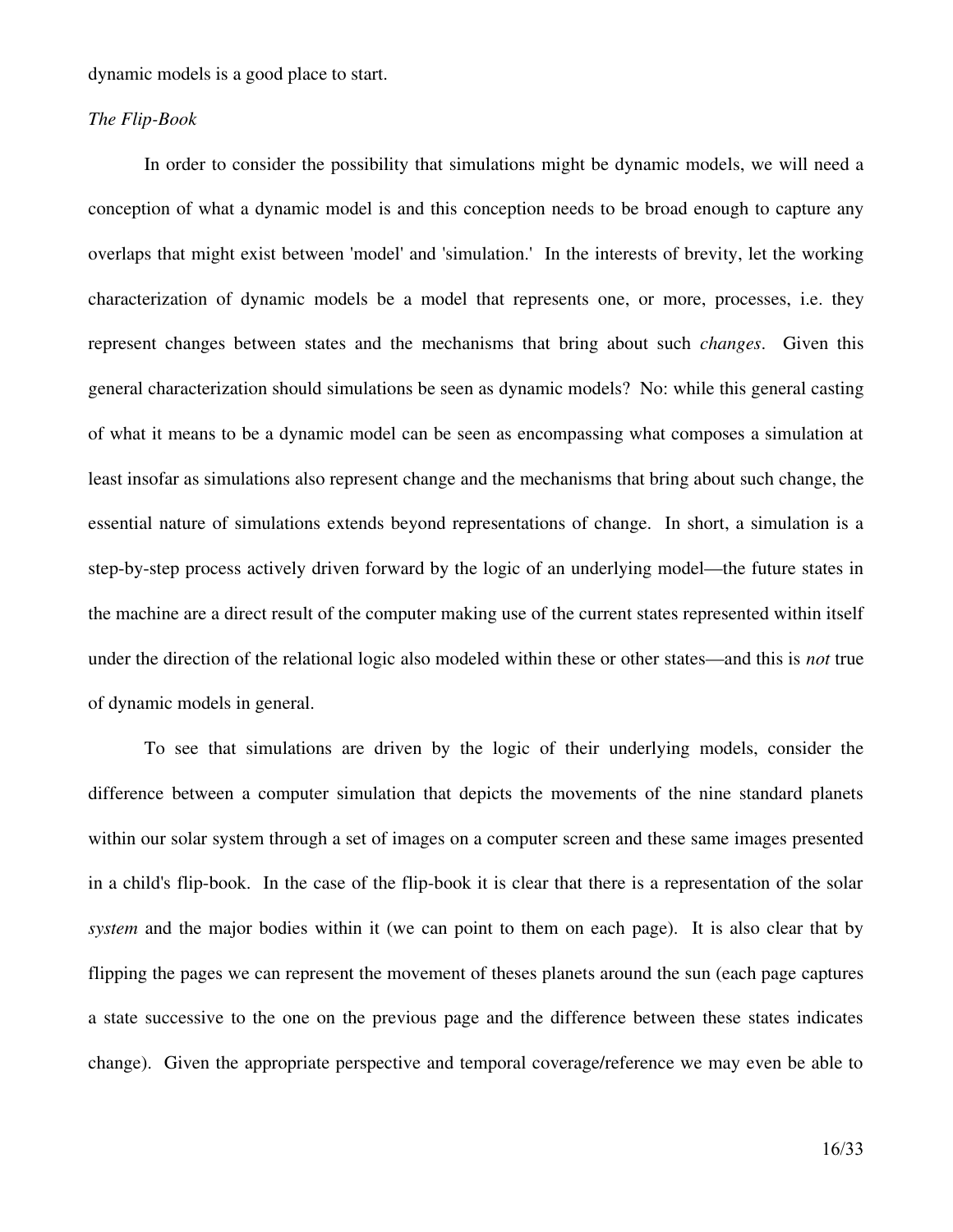dynamic models is a good place to start.

#### **The Flip-Book**

In order to consider the possibility that simulations might be dynamic models, we will need a conception of what a dynamic model is and this conception needs to be broad enough to capture any overlaps that might exist between 'model' and 'simulation.' In the interests of brevity, let the working characterization of dynamic models be a model that represents one, or more, processes, i.e. they represent changes between states and the mechanisms that bring about such *changes*. Given this general characterization should simulations be seen as dynamic models? No: while this general casting of what it means to be a dynamic model can be seen as encompassing what composes a simulation at least insofar as simulations also represent change and the mechanisms that bring about such change, the essential nature of simulations extends beyond representations of change. In short, a simulation is a step-by-step process actively driven forward by the logic of an underlying model—the future states in the machine are a direct result of the computer making use of the current states represented within itself under the direction of the relational logic also modeled within these or other states—and this is *not* true of dynamic models in general.

To see that simulations are driven by the logic of their underlying models, consider the difference between a computer simulation that depicts the movements of the nine standard planets within our solar system through a set of images on a computer screen and these same images presented in a child's flip-book. In the case of the flip-book it is clear that there is a representation of the solar *system* and the major bodies within it (we can point to them on each page). It is also clear that by flipping the pages we can represent the movement of theses planets around the sun (each page captures a state successive to the one on the previous page and the difference between these states indicates change). Given the appropriate perspective and temporal coverage/reference we may even be able to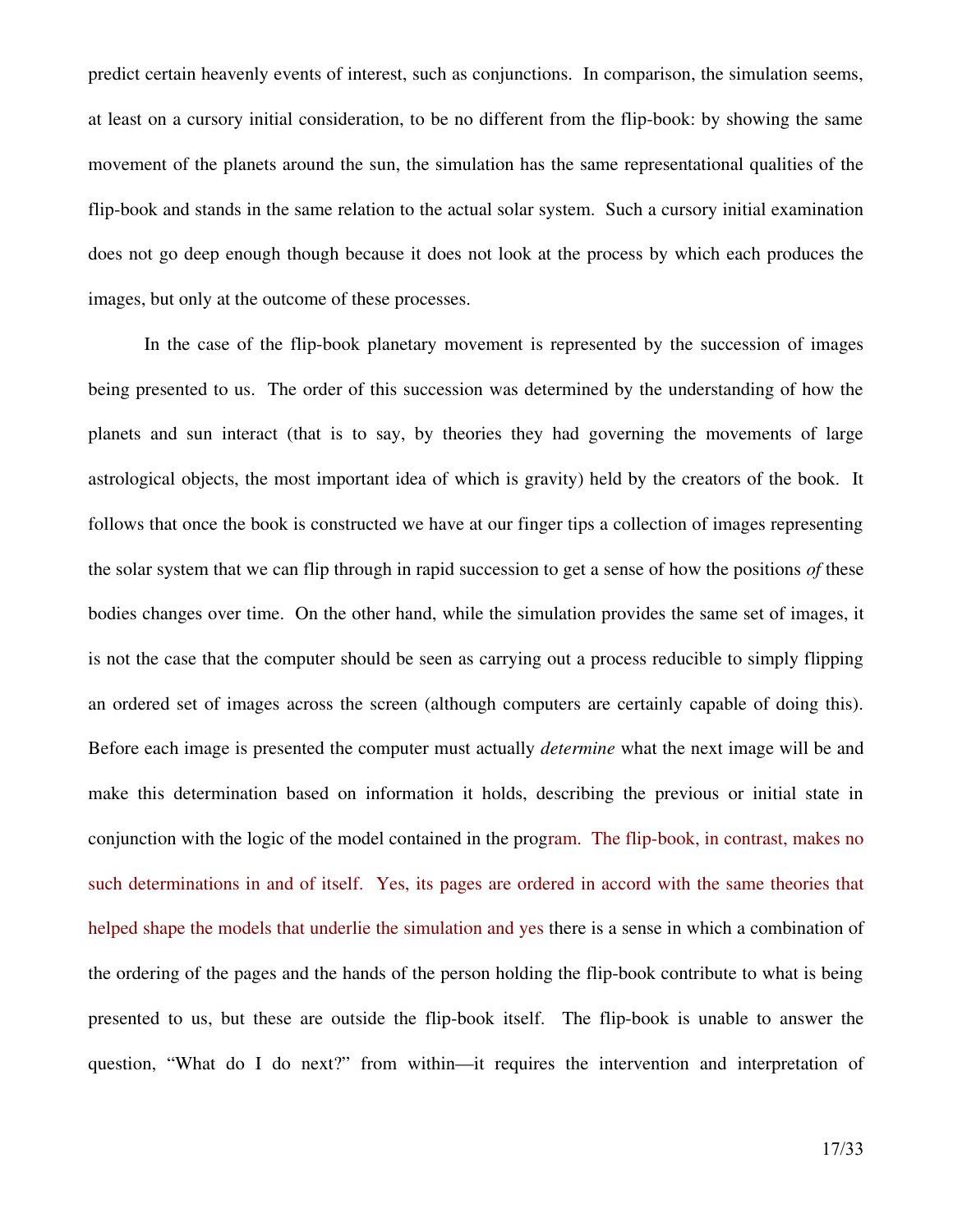predict certain heavenly events of interest, such as conjunctions. In comparison, the simulation seems, at least on a cursory initial consideration, to be no different from the flip-book: by showing the same movement of the planets around the sun, the simulation has the same representational qualities of the flip-book and stands in the same relation to the actual solar system. Such a cursory initial examination does not go deep enough though because it does not look at the process by which each produces the images, but only at the outcome of these processes.

In the case of the flip-book planetary movement is represented by the succession of images being presented to us. The order of this succession was determined by the understanding of how the planets and sun interact (that is to say, by theories they had governing the movements of large astrological objects, the most important idea of which is gravity) held by the creators of the book. It follows that once the book is constructed we have at our finger tips a collection of images representing the solar system that we can flip through in rapid succession to get a sense of how the positions *of* these bodies changes over time. On the other hand, while the simulation provides the same set of images, it is not the case that the computer should be seen as carrying out a process reducible to simply flipping an ordered set of images across the screen (although computers are certainly capable of doing this). Before each image is presented the computer must actually *determine* what the next image will be and make this determination based on information it holds, describing the previous or initial state in conjunction with the logic of the model contained in the program. The flip-book, in contrast, makes no such determinations in and of itself. Yes, its pages are ordered in accord with the same theories that helped shape the models that underlie the simulation and yes there is a sense in which a combination of the ordering of the pages and the hands of the person holding the flip-book contribute to what is being presented to us, but these are outside the flip-book itself. The flip-book is unable to answer the question, "What do I do next?" from within—it requires the intervention and interpretation of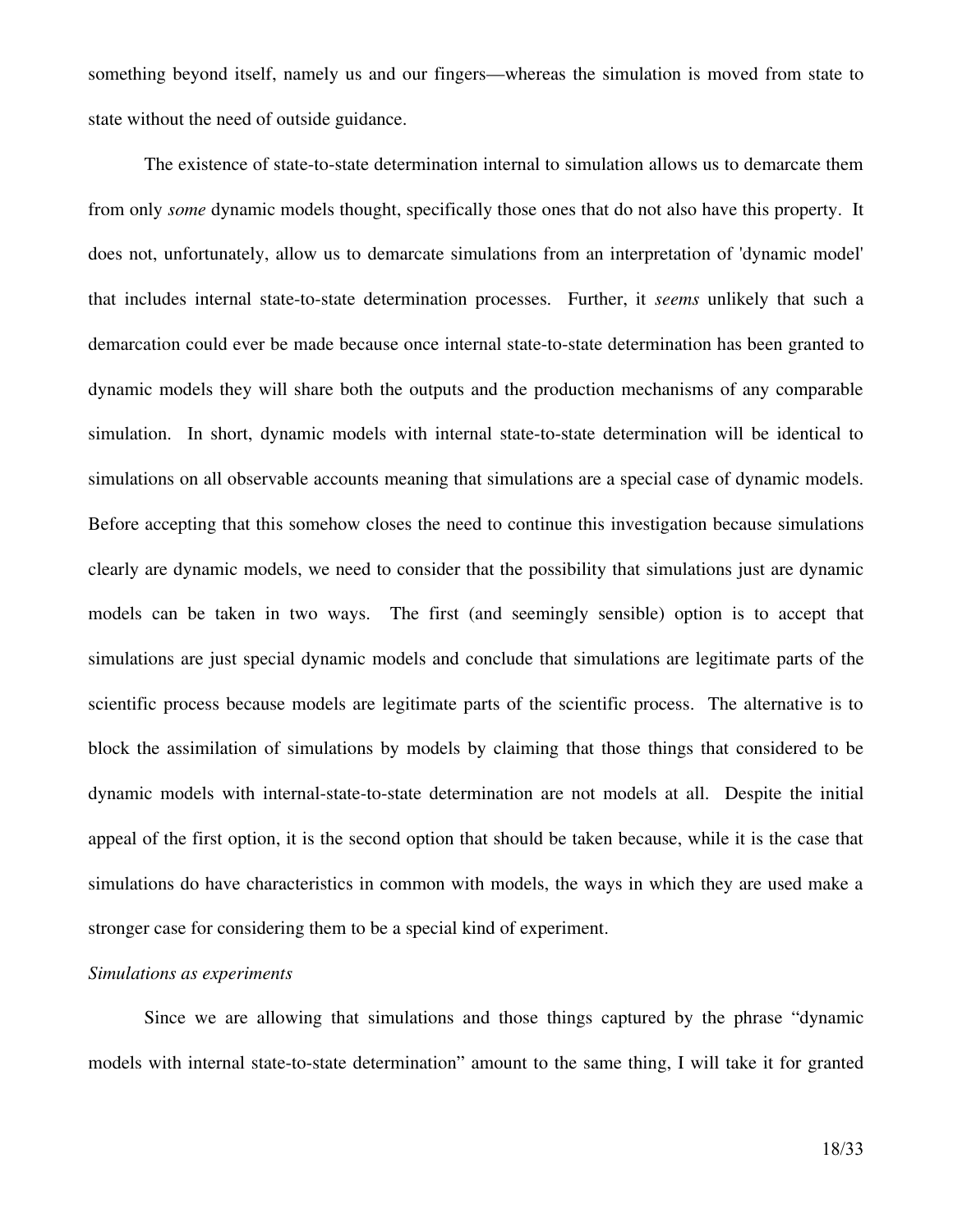something beyond itself, namely us and our fingers—whereas the simulation is moved from state to state without the need of outside guidance.

The existence of state-to-state determination internal to simulation allows us to demarcate them from only *some* dynamic models thought, specifically those ones that do not also have this property. It does not, unfortunately, allow us to demarcate simulations from an interpretation of 'dynamic model' that includes internal state-to-state determination processes. Further, it *seems* unlikely that such a demarcation could ever be made because once internal state-to-state determination has been granted to dynamic models they will share both the outputs and the production mechanisms of any comparable simulation. In short, dynamic models with internal state-to-state determination will be identical to simulations on all observable accounts meaning that simulations are a special case of dynamic models. Before accepting that this somehow closes the need to continue this investigation because simulations clearly are dynamic models, we need to consider that the possibility that simulations just are dynamic models can be taken in two ways. The first (and seemingly sensible) option is to accept that simulations are just special dynamic models and conclude that simulations are legitimate parts of the scientific process because models are legitimate parts of the scientific process. The alternative is to block the assimilation of simulations by models by claiming that those things that considered to be dynamic models with internal-state-to-state determination are not models at all. Despite the initial appeal of the first option, it is the second option that should be taken because, while it is the case that simulations do have characteristics in common with models, the ways in which they are used make a stronger case for considering them to be a special kind of experiment.

#### *Simulations as experiments*

Since we are allowing that simulations and those things captured by the phrase "dynamic models with internal state-to-state determination" amount to the same thing, I will take it for granted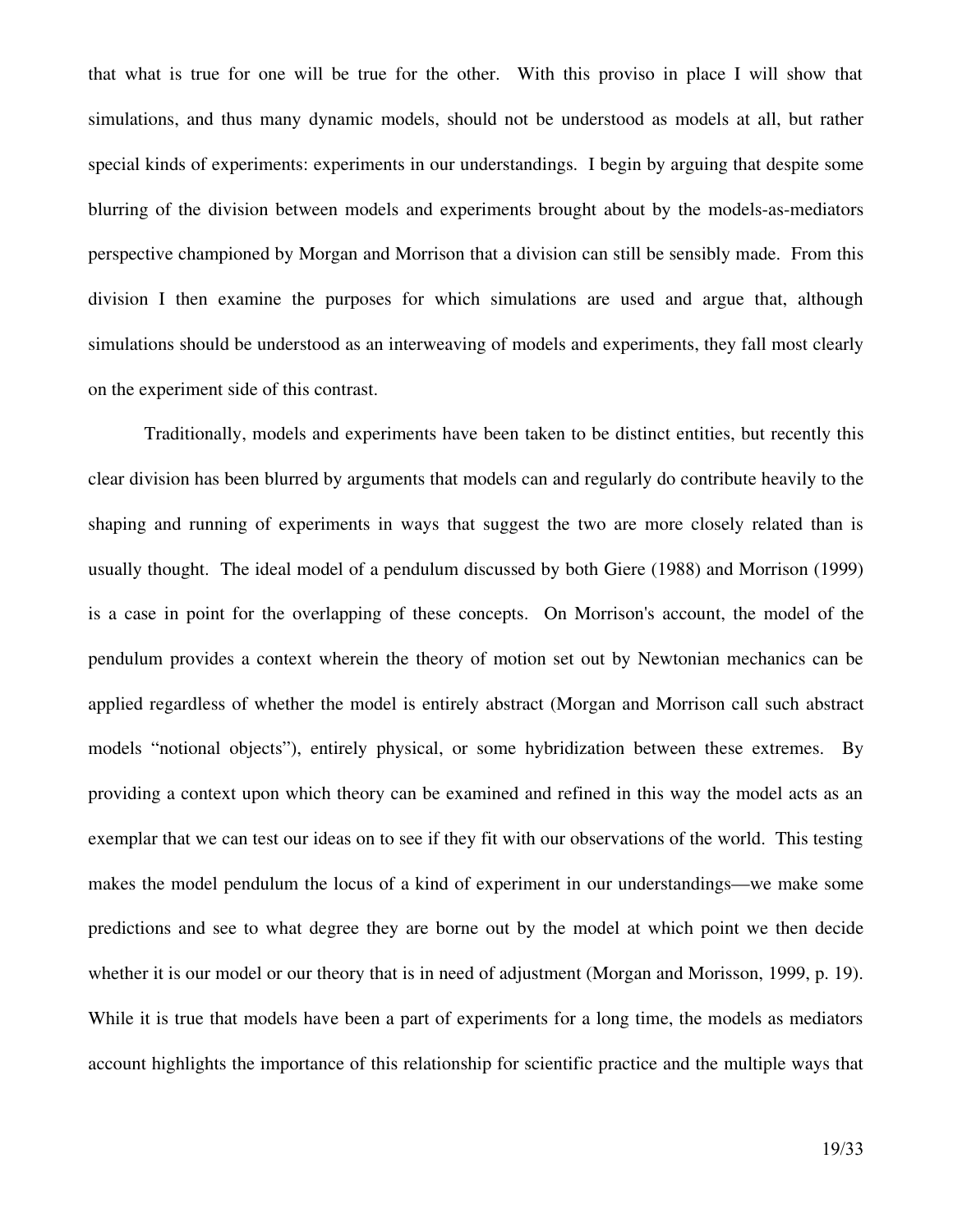that what is true for one will be true for the other. With this proviso in place I will show that simulations, and thus many dynamic models, should not be understood as models at all, but rather special kinds of experiments: experiments in our understandings. I begin by arguing that despite some blurring of the division between models and experiments brought about by the models-as-mediators perspective championed by Morgan and Morrison that a division can still be sensibly made. From this division I then examine the purposes for which simulations are used and argue that, although simulations should be understood as an interweaving of models and experiments, they fall most clearly on the experiment side of this contrast.

Traditionally, models and experiments have been taken to be distinct entities, but recently this clear division has been blurred by arguments that models can and regularly do contribute heavily to the shaping and running of experiments in ways that suggest the two are more closely related than is usually thought. The ideal model of a pendulum discussed by both Giere (1988) and Morrison (1999) is a case in point for the overlapping of these concepts. On Morrison's account, the model of the pendulum provides a context wherein the theory of motion set out by Newtonian mechanics can be applied regardless of whether the model is entirely abstract (Morgan and Morrison call such abstract models "notional objects"), entirely physical, or some hybridization between these extremes. By providing a context upon which theory can be examined and refined in this way the model acts as an exemplar that we can test our ideas on to see if they fit with our observations of the world. This testing makes the model pendulum the locus of a kind of experiment in our understandings—we make some predictions and see to what degree they are borne out by the model at which point we then decide whether it is our model or our theory that is in need of adjustment (Morgan and Morisson, 1999, p. 19). While it is true that models have been a part of experiments for a long time, the models as mediators account highlights the importance of this relationship for scientific practice and the multiple ways that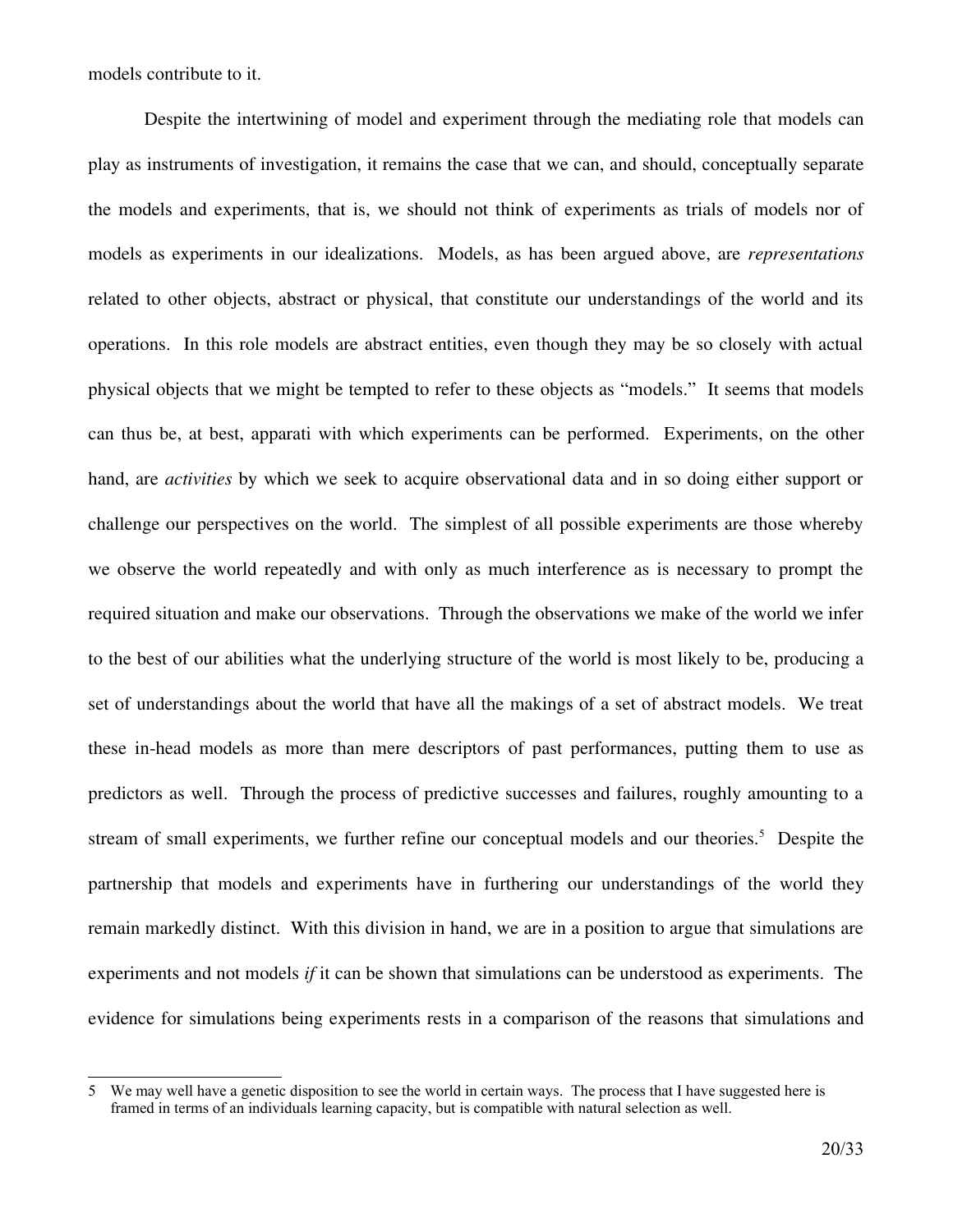models contribute to it.

Despite the intertwining of model and experiment through the mediating role that models can play as instruments of investigation, it remains the case that we can, and should, conceptually separate the models and experiments, that is, we should not think of experiments as trials of models nor of models as experiments in our idealizations. Models, as has been argued above, are *representations* related to other objects, abstract or physical, that constitute our understandings of the world and its operations. In this role models are abstract entities, even though they may be so closely with actual physical objects that we might be tempted to refer to these objects as "models." It seems that models can thus be, at best, apparati with which experiments can be performed. Experiments, on the other hand, are *activities* by which we seek to acquire observational data and in so doing either support or challenge our perspectives on the world. The simplest of all possible experiments are those whereby we observe the world repeatedly and with only as much interference as is necessary to prompt the required situation and make our observations. Through the observations we make of the world we infer to the best of our abilities what the underlying structure of the world is most likely to be, producing a set of understandings about the world that have all the makings of a set of abstract models. We treat these inhead models as more than mere descriptors of past performances, putting them to use as predictors as well. Through the process of predictive successes and failures, roughly amounting to a stream of small experiments, we further refine our conceptual models and our theories. [5](#page-19-0) Despite the partnership that models and experiments have in furthering our understandings of the world they remain markedly distinct. With this division in hand, we are in a position to argue that simulations are experiments and not models *if* it can be shown that simulations can be understood as experiments. The evidence for simulations being experiments rests in a comparison of the reasons that simulations and

<span id="page-19-0"></span><sup>5</sup> We may well have a genetic disposition to see the world in certain ways. The process that I have suggested here is framed in terms of an individuals learning capacity, but is compatible with natural selection as well.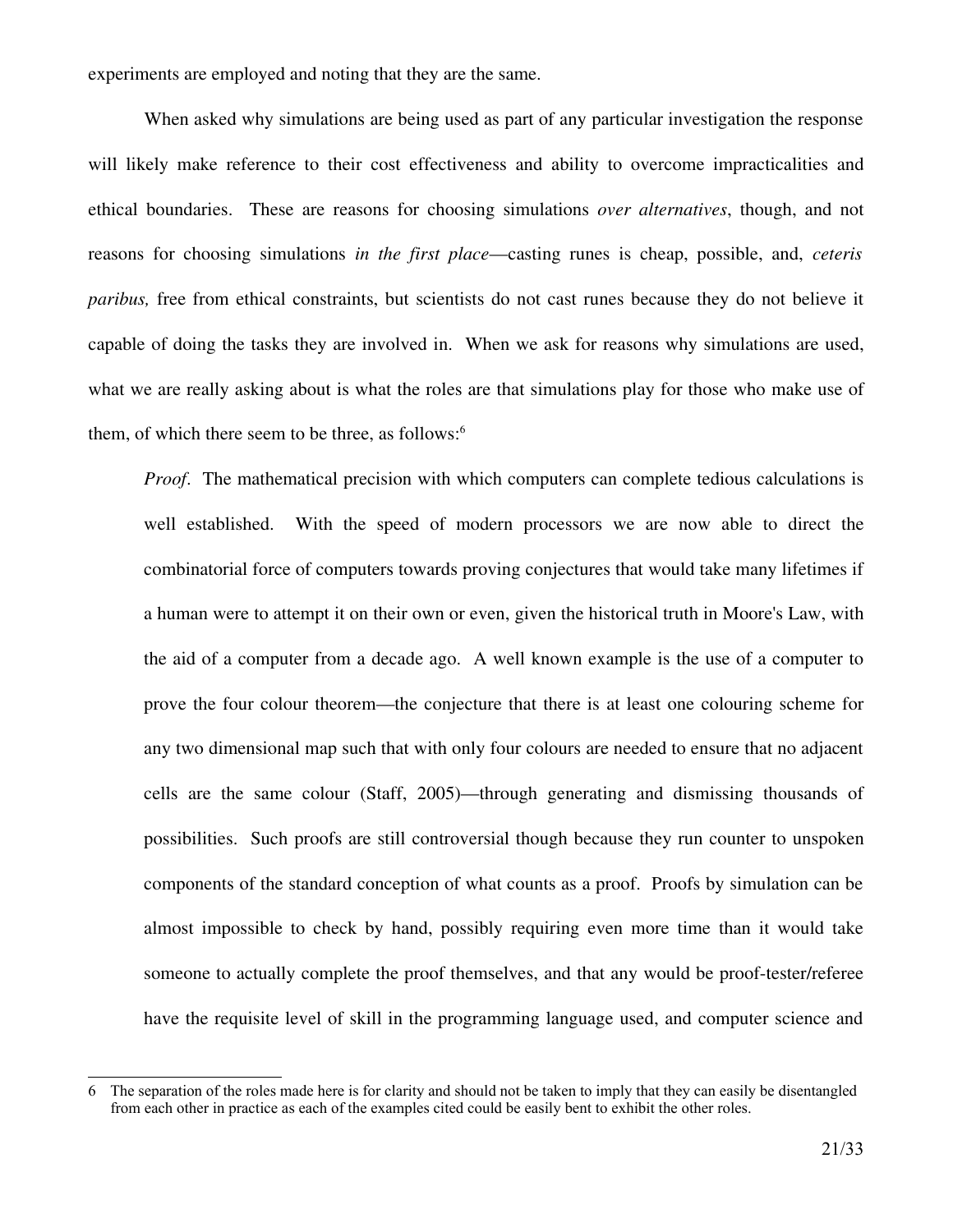experiments are employed and noting that they are the same.

When asked why simulations are being used as part of any particular investigation the response will likely make reference to their cost effectiveness and ability to overcome impracticalities and ethical boundaries. These are reasons for choosing simulations *over alternatives*, though, and not reasons for choosing simulations *in the first place*—casting runes is cheap, possible, and, *ceteris paribus,* free from ethical constraints, but scientists do not cast runes because they do not believe it capable of doing the tasks they are involved in. When we ask for reasons why simulations are used, what we are really asking about is what the roles are that simulations play for those who make use of them, of which there seem to be three, as follows: [6](#page-20-0)

*Proof.* The mathematical precision with which computers can complete tedious calculations is well established. With the speed of modern processors we are now able to direct the combinatorial force of computers towards proving conjectures that would take many lifetimes if a human were to attempt it on their own or even, given the historical truth in Moore's Law, with the aid of a computer from a decade ago. A well known example is the use of a computer to prove the four colour theorem—the conjecture that there is at least one colouring scheme for any two dimensional map such that with only four colours are needed to ensure that no adjacent cells are the same colour (Staff, 2005)—through generating and dismissing thousands of possibilities. Such proofs are still controversial though because they run counter to unspoken components of the standard conception of what counts as a proof. Proofs by simulation can be almost impossible to check by hand, possibly requiring even more time than it would take someone to actually complete the proof themselves, and that any would be proof-tester/referee have the requisite level of skill in the programming language used, and computer science and

<span id="page-20-0"></span><sup>6</sup> The separation of the roles made here is for clarity and should not be taken to imply that they can easily be disentangled from each other in practice as each of the examples cited could be easily bent to exhibit the other roles.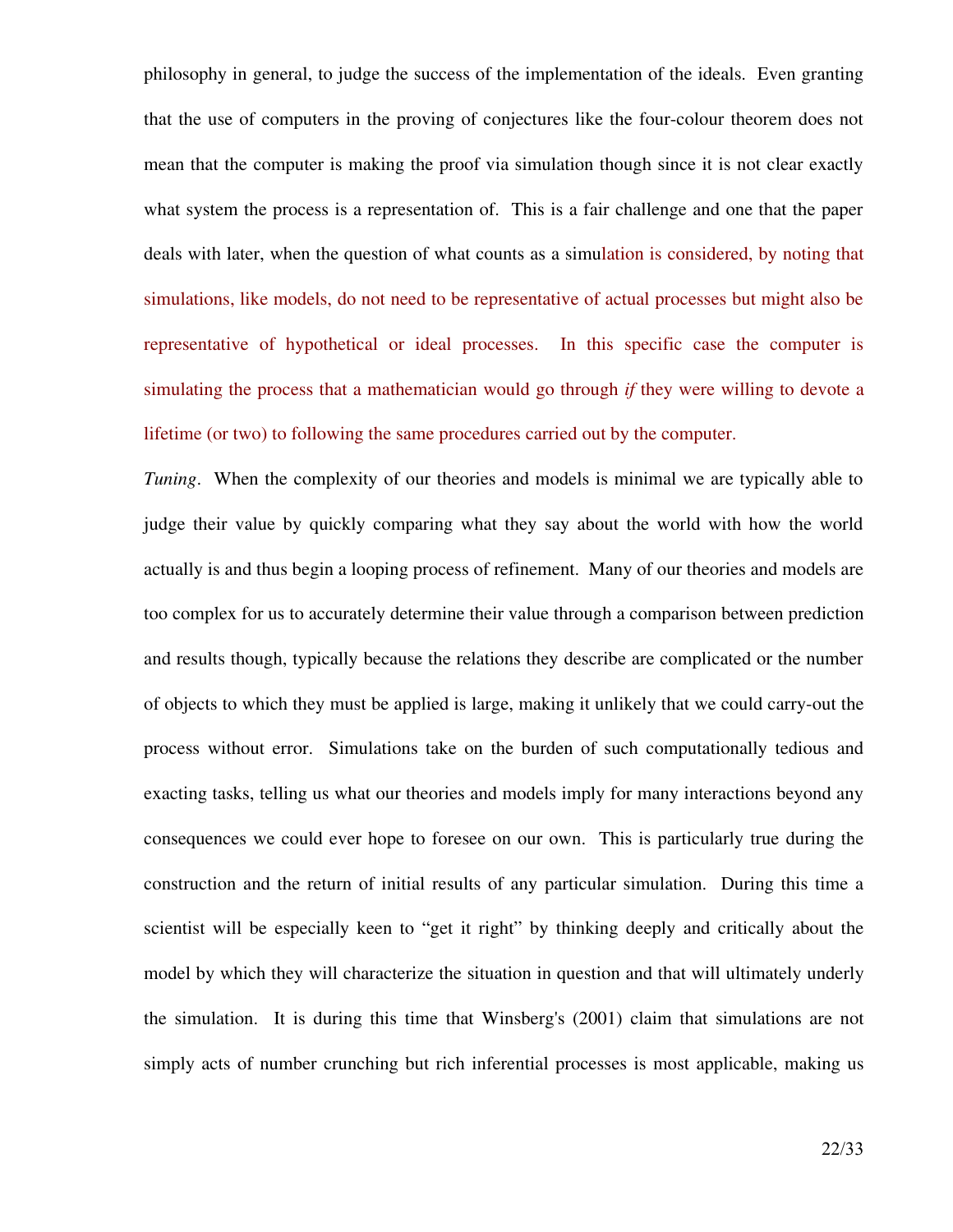philosophy in general, to judge the success of the implementation of the ideals. Even granting that the use of computers in the proving of conjectures like the four-colour theorem does not mean that the computer is making the proof via simulation though since it is not clear exactly what system the process is a representation of. This is a fair challenge and one that the paper deals with later, when the question of what counts as a simulation is considered, by noting that simulations, like models, do not need to be representative of actual processes but might also be representative of hypothetical or ideal processes. In this specific case the computer is simulating the process that a mathematician would go through *if* they were willing to devote a lifetime (or two) to following the same procedures carried out by the computer.

*Tuning*. When the complexity of our theories and models is minimal we are typically able to judge their value by quickly comparing what they say about the world with how the world actually is and thus begin a looping process of refinement. Many of our theories and models are too complex for us to accurately determine their value through a comparison between prediction and results though, typically because the relations they describe are complicated or the number of objects to which they must be applied is large, making it unlikely that we could carryout the process without error. Simulations take on the burden of such computationally tedious and exacting tasks, telling us what our theories and models imply for many interactions beyond any consequences we could ever hope to foresee on our own. This is particularly true during the construction and the return of initial results of any particular simulation. During this time a scientist will be especially keen to "get it right" by thinking deeply and critically about the model by which they will characterize the situation in question and that will ultimately underly the simulation. It is during this time that Winsberg's (2001) claim that simulations are not simply acts of number crunching but rich inferential processes is most applicable, making us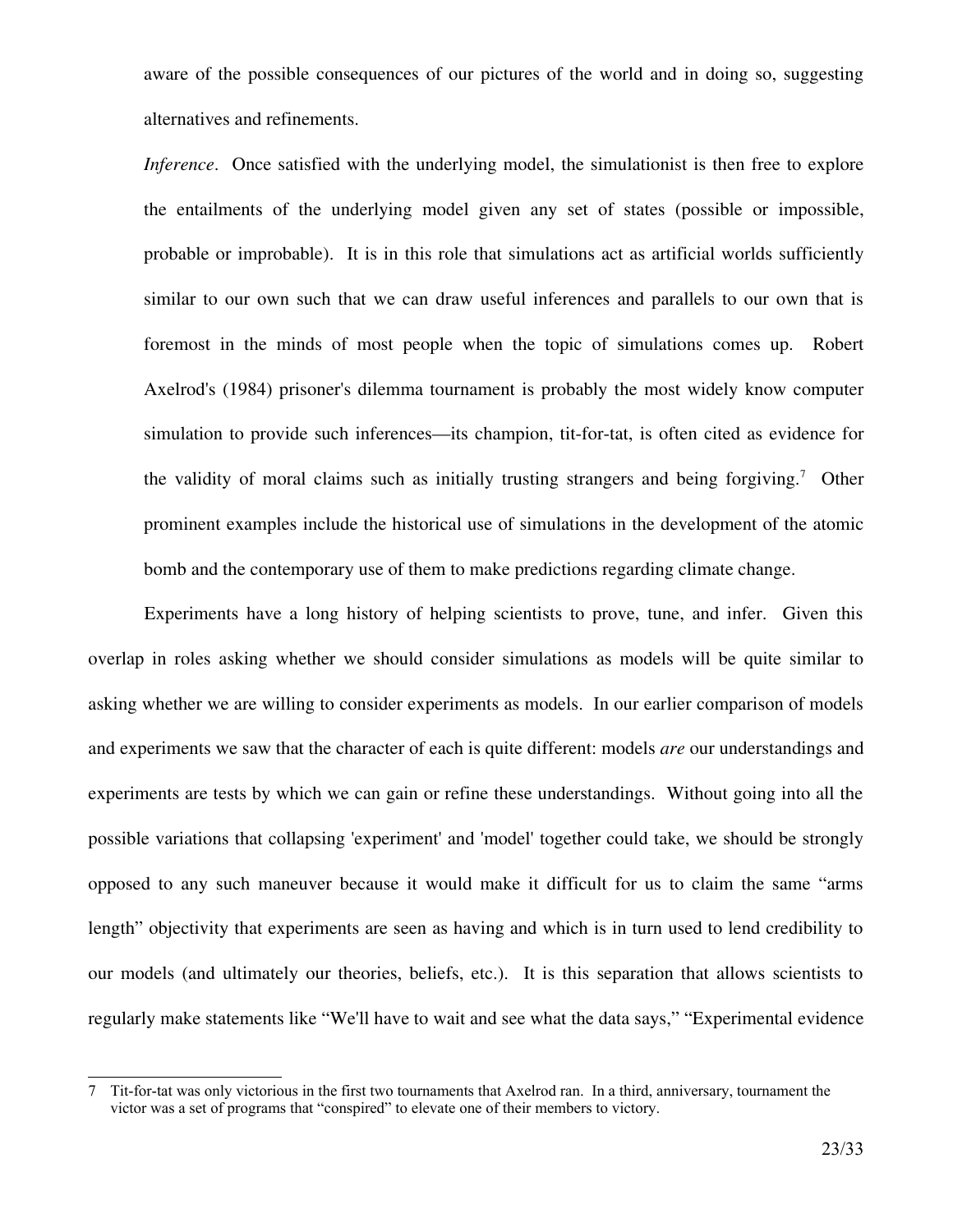aware of the possible consequences of our pictures of the world and in doing so, suggesting alternatives and refinements.

*Inference*. Once satisfied with the underlying model, the simulationist is then free to explore the entailments of the underlying model given any set of states (possible or impossible, probable or improbable). It is in this role that simulations act as artificial worlds sufficiently similar to our own such that we can draw useful inferences and parallels to our own that is foremost in the minds of most people when the topic of simulations comes up. Robert Axelrod's (1984) prisoner's dilemma tournament is probably the most widely know computer simulation to provide such inferences—its champion, tit-for-tat, is often cited as evidence for the validity of moral claims such as initially trusting strangers and being forgiving.[7](#page-22-0) Other prominent examples include the historical use of simulations in the development of the atomic bomb and the contemporary use of them to make predictions regarding climate change.

Experiments have a long history of helping scientists to prove, tune, and infer. Given this overlap in roles asking whether we should consider simulations as models will be quite similar to asking whether we are willing to consider experiments as models. In our earlier comparison of models and experiments we saw that the character of each is quite different: models *are* our understandings and experiments are tests by which we can gain or refine these understandings. Without going into all the possible variations that collapsing 'experiment' and 'model' together could take, we should be strongly opposed to any such maneuver because it would make it difficult for us to claim the same "arms length" objectivity that experiments are seen as having and which is in turn used to lend credibility to our models (and ultimately our theories, beliefs, etc.). It is this separation that allows scientists to regularly make statements like "We'll have to wait and see what the data says," "Experimental evidence

<span id="page-22-0"></span><sup>7</sup> Tit-for-tat was only victorious in the first two tournaments that Axelrod ran. In a third, anniversary, tournament the victor was a set of programs that "conspired" to elevate one of their members to victory.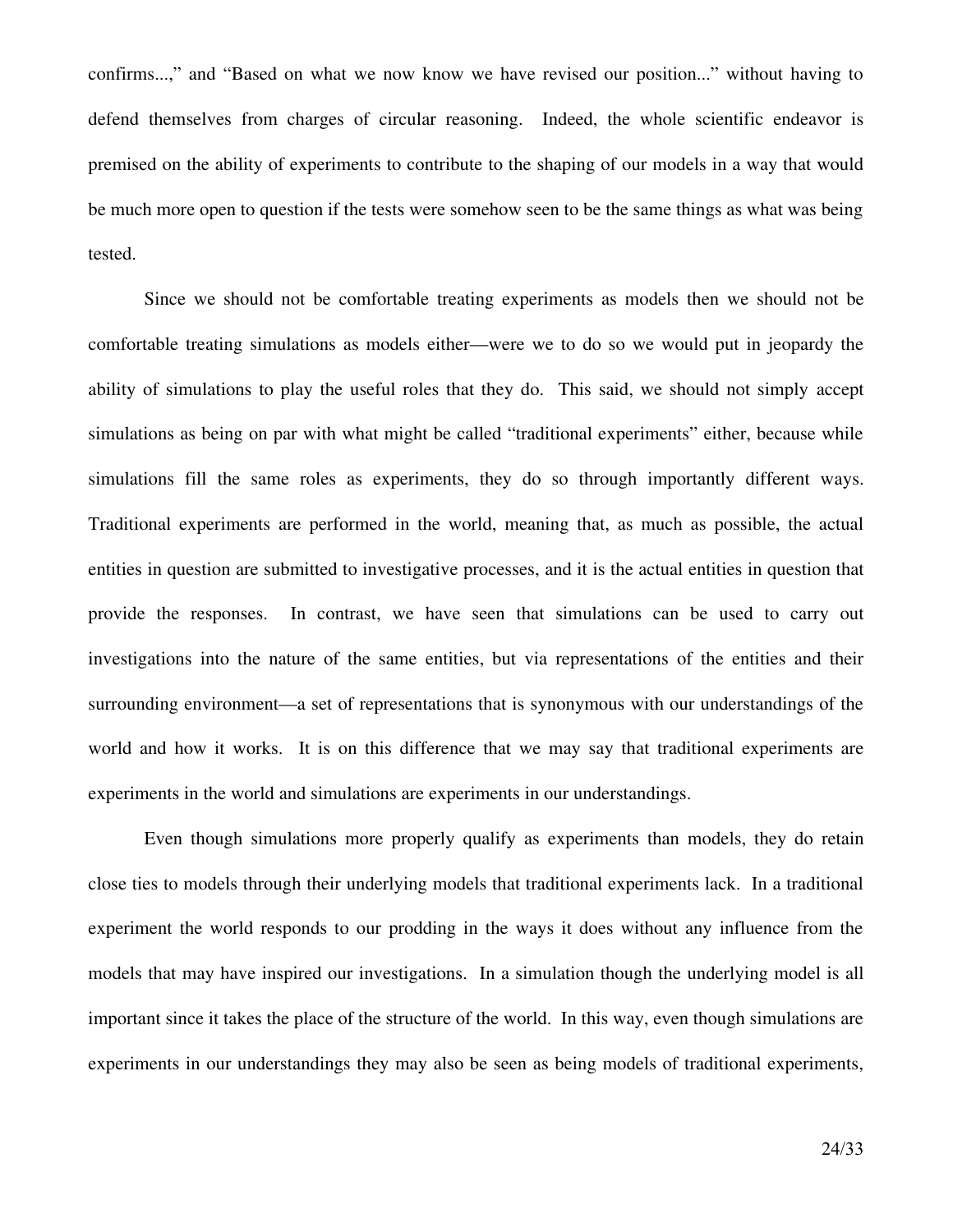confirms...," and "Based on what we now know we have revised our position..." without having to defend themselves from charges of circular reasoning. Indeed, the whole scientific endeavor is premised on the ability of experiments to contribute to the shaping of our models in a way that would be much more open to question if the tests were somehow seen to be the same things as what was being tested.

Since we should not be comfortable treating experiments as models then we should not be comfortable treating simulations as models either—were we to do so we would put in jeopardy the ability of simulations to play the useful roles that they do. This said, we should not simply accept simulations as being on par with what might be called "traditional experiments" either, because while simulations fill the same roles as experiments, they do so through importantly different ways. Traditional experiments are performed in the world, meaning that, as much as possible, the actual entities in question are submitted to investigative processes, and it is the actual entities in question that provide the responses. In contrast, we have seen that simulations can be used to carry out investigations into the nature of the same entities, but via representations of the entities and their surrounding environment—a set of representations that is synonymous with our understandings of the world and how it works. It is on this difference that we may say that traditional experiments are experiments in the world and simulations are experiments in our understandings.

Even though simulations more properly qualify as experiments than models, they do retain close ties to models through their underlying models that traditional experiments lack. In a traditional experiment the world responds to our prodding in the ways it does without any influence from the models that may have inspired our investigations. In a simulation though the underlying model is all important since it takes the place of the structure of the world. In this way, even though simulations are experiments in our understandings they may also be seen as being models of traditional experiments,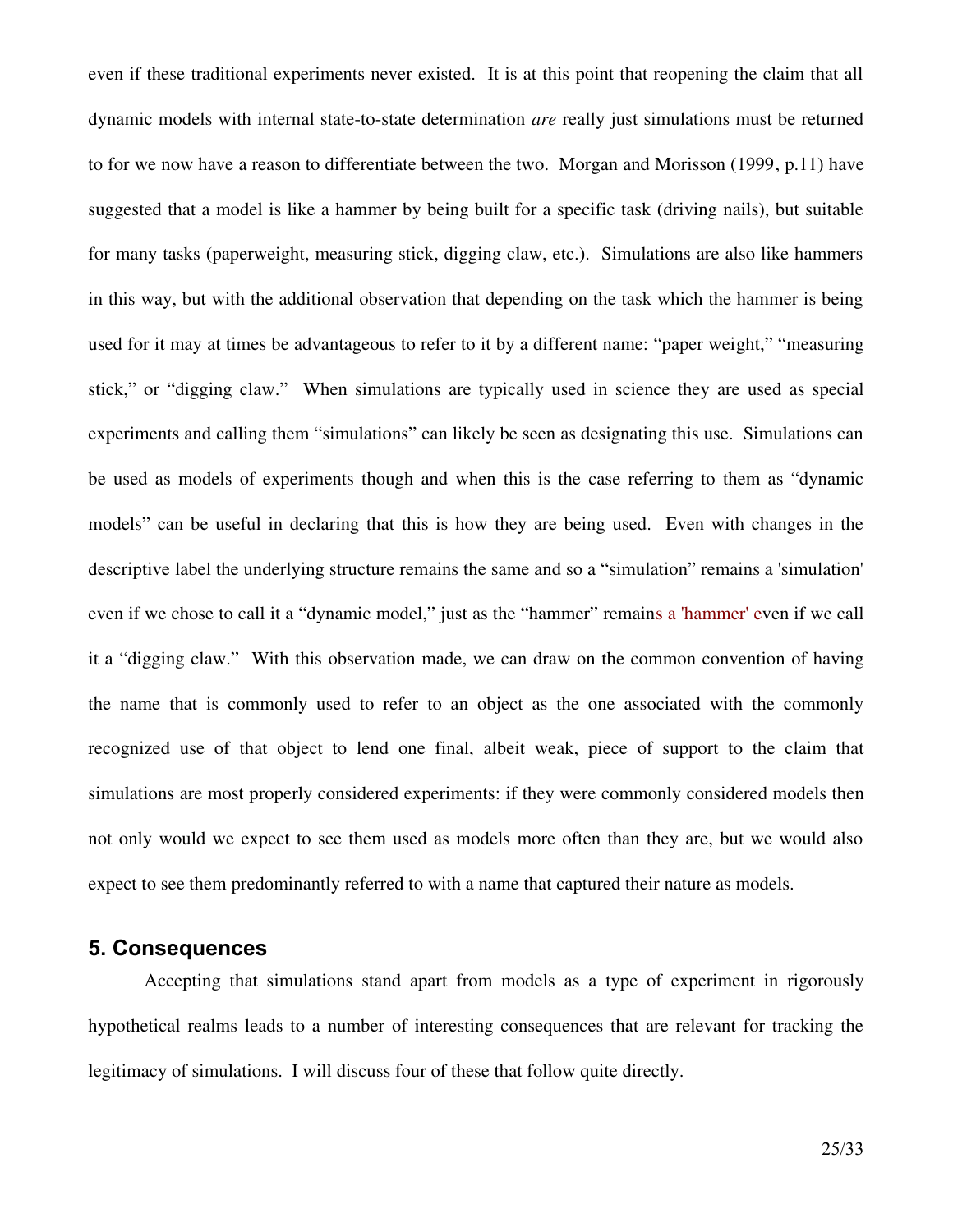even if these traditional experiments never existed. It is at this point that reopening the claim that all dynamic models with internal state-to-state determination *are* really just simulations must be returned to for we now have a reason to differentiate between the two. Morgan and Morisson (1999, p.11) have suggested that a model is like a hammer by being built for a specific task (driving nails), but suitable for many tasks (paperweight, measuring stick, digging claw, etc.). Simulations are also like hammers in this way, but with the additional observation that depending on the task which the hammer is being used for it may at times be advantageous to refer to it by a different name: "paper weight," "measuring stick," or "digging claw." When simulations are typically used in science they are used as special experiments and calling them "simulations" can likely be seen as designating this use. Simulations can be used as models of experiments though and when this is the case referring to them as "dynamic models" can be useful in declaring that this is how they are being used. Even with changes in the descriptive label the underlying structure remains the same and so a "simulation" remains a 'simulation' even if we chose to call it a "dynamic model," just as the "hammer" remains a 'hammer' even if we call it a "digging claw." With this observation made, we can draw on the common convention of having the name that is commonly used to refer to an object as the one associated with the commonly recognized use of that object to lend one final, albeit weak, piece of support to the claim that simulations are most properly considered experiments: if they were commonly considered models then not only would we expect to see them used as models more often than they are, but we would also expect to see them predominantly referred to with a name that captured their nature as models.

## **5. Consequences**

Accepting that simulations stand apart from models as a type of experiment in rigorously hypothetical realms leads to a number of interesting consequences that are relevant for tracking the legitimacy of simulations. I will discuss four of these that follow quite directly.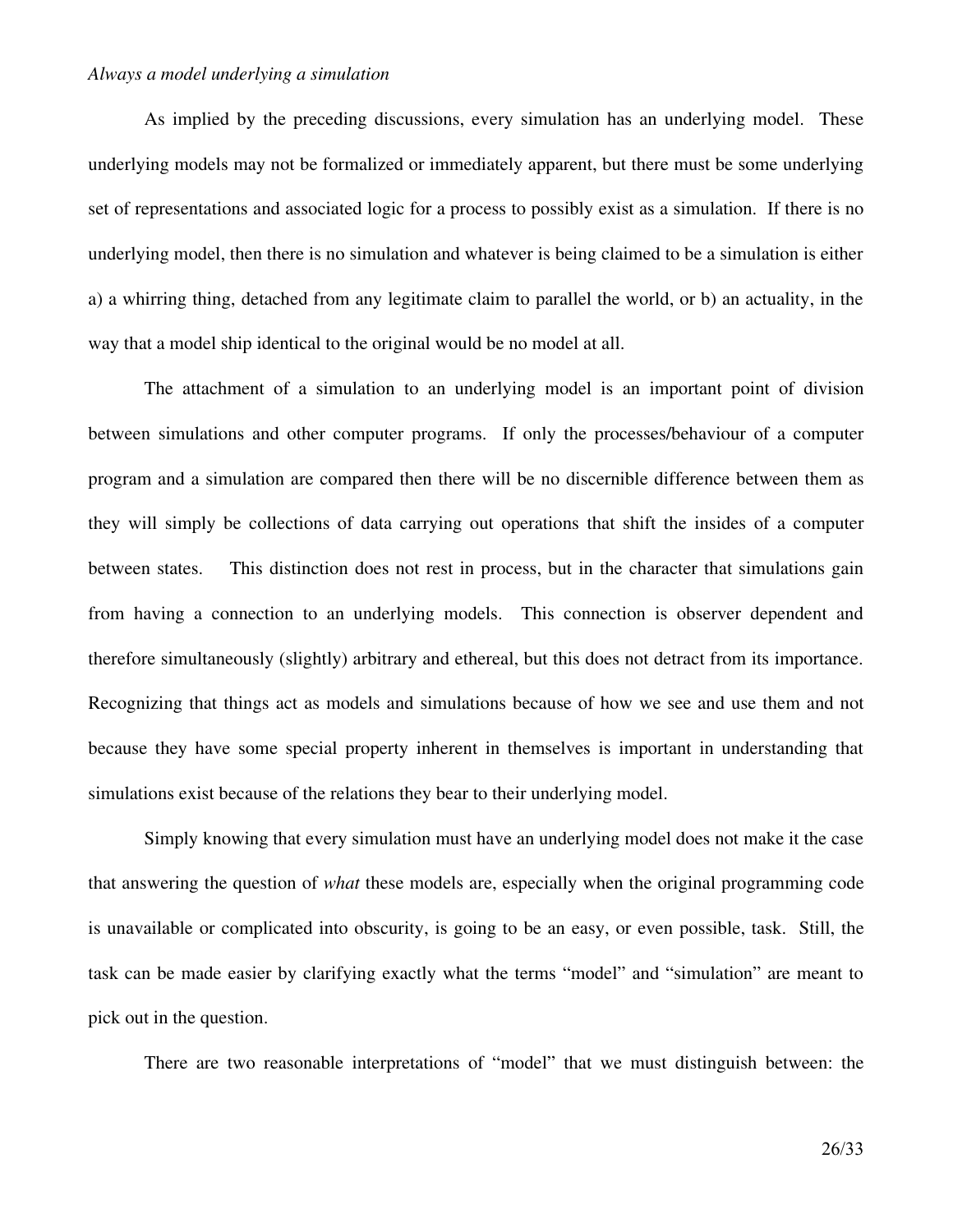#### *Always a model underlying a simulation*

As implied by the preceding discussions, every simulation has an underlying model. These underlying models may not be formalized or immediately apparent, but there must be some underlying set of representations and associated logic for a process to possibly exist as a simulation. If there is no underlying model, then there is no simulation and whatever is being claimed to be a simulation is either a) a whirring thing, detached from any legitimate claim to parallel the world, or b) an actuality, in the way that a model ship identical to the original would be no model at all.

The attachment of a simulation to an underlying model is an important point of division between simulations and other computer programs. If only the processes/behaviour of a computer program and a simulation are compared then there will be no discernible difference between them as they will simply be collections of data carrying out operations that shift the insides of a computer between states. This distinction does not rest in process, but in the character that simulations gain from having a connection to an underlying models. This connection is observer dependent and therefore simultaneously (slightly) arbitrary and ethereal, but this does not detract from its importance. Recognizing that things act as models and simulations because of how we see and use them and not because they have some special property inherent in themselves is important in understanding that simulations exist because of the relations they bear to their underlying model.

Simply knowing that every simulation must have an underlying model does not make it the case that answering the question of *what* these models are, especially when the original programming code is unavailable or complicated into obscurity, is going to be an easy, or even possible, task. Still, the task can be made easier by clarifying exactly what the terms "model" and "simulation" are meant to pick out in the question.

There are two reasonable interpretations of "model" that we must distinguish between: the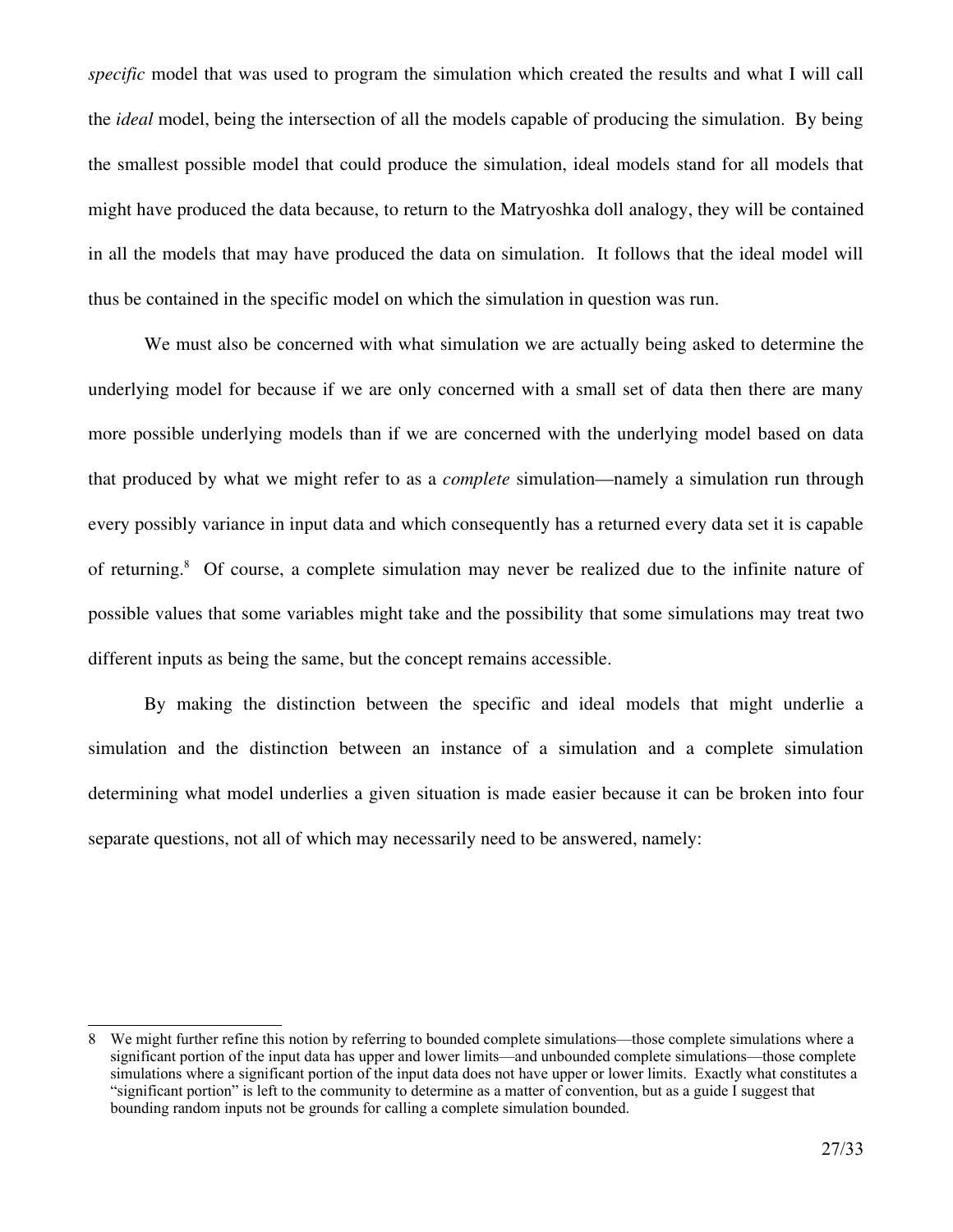*specific* model that was used to program the simulation which created the results and what I will call the *ideal* model, being the intersection of all the models capable of producing the simulation. By being the smallest possible model that could produce the simulation, ideal models stand for all models that might have produced the data because, to return to the Matryoshka doll analogy, they will be contained in all the models that may have produced the data on simulation. It follows that the ideal model will thus be contained in the specific model on which the simulation in question was run.

We must also be concerned with what simulation we are actually being asked to determine the underlying model for because if we are only concerned with a small set of data then there are many more possible underlying models than if we are concerned with the underlying model based on data that produced by what we might refer to as a *complete* simulation—namely a simulation run through every possibly variance in input data and which consequently has a returned every data set it is capable of returning.[8](#page-26-0) Of course, a complete simulation may never be realized due to the infinite nature of possible values that some variables might take and the possibility that some simulations may treat two different inputs as being the same, but the concept remains accessible.

By making the distinction between the specific and ideal models that might underlie a simulation and the distinction between an instance of a simulation and a complete simulation determining what model underlies a given situation is made easier because it can be broken into four separate questions, not all of which may necessarily need to be answered, namely:

<span id="page-26-0"></span><sup>8</sup> We might further refine this notion by referring to bounded complete simulations—those complete simulations where a significant portion of the input data has upper and lower limits—and unbounded complete simulations—those complete simulations where a significant portion of the input data does not have upper or lower limits. Exactly what constitutes a "significant portion" is left to the community to determine as a matter of convention, but as a guide I suggest that bounding random inputs not be grounds for calling a complete simulation bounded.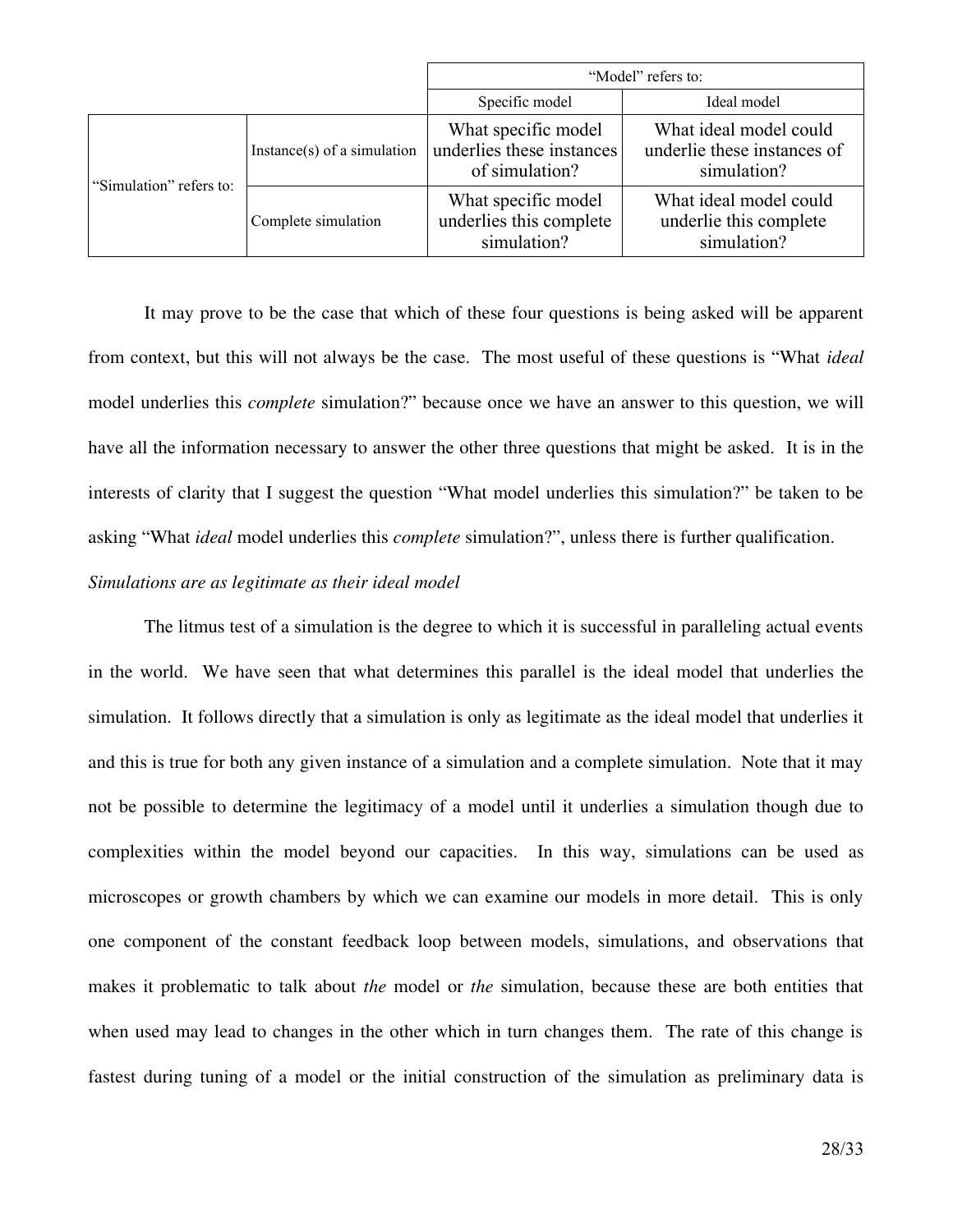|                         |                             | "Model" refers to:                                                 |                                                                      |
|-------------------------|-----------------------------|--------------------------------------------------------------------|----------------------------------------------------------------------|
|                         |                             | Specific model                                                     | Ideal model                                                          |
| "Simulation" refers to: | Instance(s) of a simulation | What specific model<br>underlies these instances<br>of simulation? | What ideal model could<br>underlie these instances of<br>simulation? |
|                         | Complete simulation         | What specific model<br>underlies this complete<br>simulation?      | What ideal model could<br>underlie this complete<br>simulation?      |

It may prove to be the case that which of these four questions is being asked will be apparent from context, but this will not always be the case. The most useful of these questions is "What *ideal* model underlies this *complete* simulation?" because once we have an answer to this question, we will have all the information necessary to answer the other three questions that might be asked. It is in the interests of clarity that I suggest the question "What model underlies this simulation?" be taken to be asking "What *ideal* model underlies this *complete* simulation?", unless there is further qualification.

### *Simulations are as legitimate as their ideal model*

The litmus test of a simulation is the degree to which it is successful in paralleling actual events in the world. We have seen that what determines this parallel is the ideal model that underlies the simulation. It follows directly that a simulation is only as legitimate as the ideal model that underlies it and this is true for both any given instance of a simulation and a complete simulation. Note that it may not be possible to determine the legitimacy of a model until it underlies a simulation though due to complexities within the model beyond our capacities. In this way, simulations can be used as microscopes or growth chambers by which we can examine our models in more detail. This is only one component of the constant feedback loop between models, simulations, and observations that makes it problematic to talk about *the* model or *the* simulation, because these are both entities that when used may lead to changes in the other which in turn changes them. The rate of this change is fastest during tuning of a model or the initial construction of the simulation as preliminary data is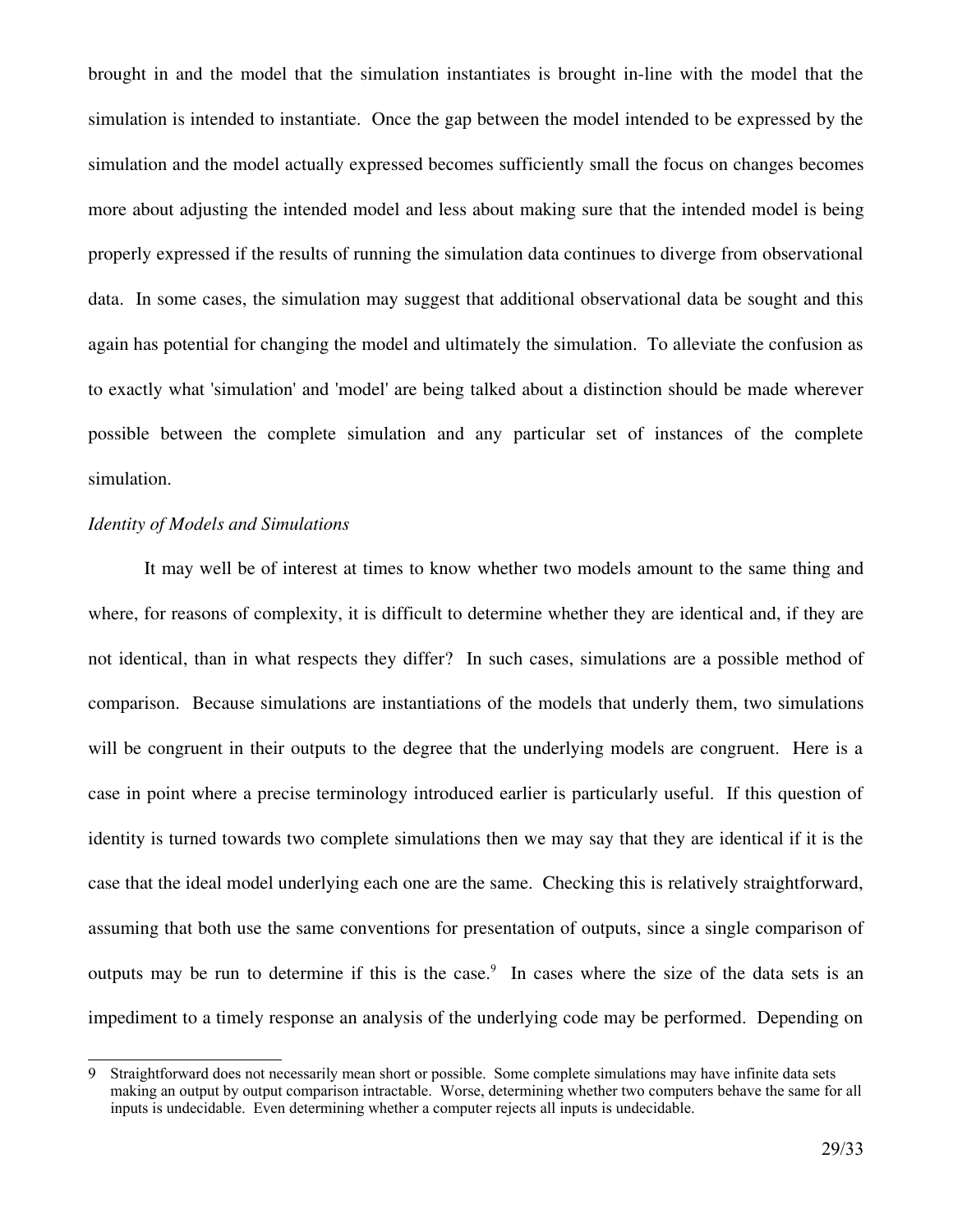brought in and the model that the simulation instantiates is brought in-line with the model that the simulation is intended to instantiate. Once the gap between the model intended to be expressed by the simulation and the model actually expressed becomes sufficiently small the focus on changes becomes more about adjusting the intended model and less about making sure that the intended model is being properly expressed if the results of running the simulation data continues to diverge from observational data. In some cases, the simulation may suggest that additional observational data be sought and this again has potential for changing the model and ultimately the simulation. To alleviate the confusion as to exactly what 'simulation' and 'model' are being talked about a distinction should be made wherever possible between the complete simulation and any particular set of instances of the complete simulation.

#### *Identity of Models and Simulations*

It may well be of interest at times to know whether two models amount to the same thing and where, for reasons of complexity, it is difficult to determine whether they are identical and, if they are not identical, than in what respects they differ? In such cases, simulations are a possible method of comparison. Because simulations are instantiations of the models that underly them, two simulations will be congruent in their outputs to the degree that the underlying models are congruent. Here is a case in point where a precise terminology introduced earlier is particularly useful. If this question of identity is turned towards two complete simulations then we may say that they are identical if it is the case that the ideal model underlying each one are the same. Checking this is relatively straightforward, assuming that both use the same conventions for presentation of outputs, since a single comparison of outputs may be run to determine if this is the case.<sup>[9](#page-28-0)</sup> In cases where the size of the data sets is an impediment to a timely response an analysis of the underlying code may be performed. Depending on

<span id="page-28-0"></span><sup>9</sup> Straightforward does not necessarily mean short or possible. Some complete simulations may have infinite data sets making an output by output comparison intractable. Worse, determining whether two computers behave the same for all inputs is undecidable. Even determining whether a computer rejects all inputs is undecidable.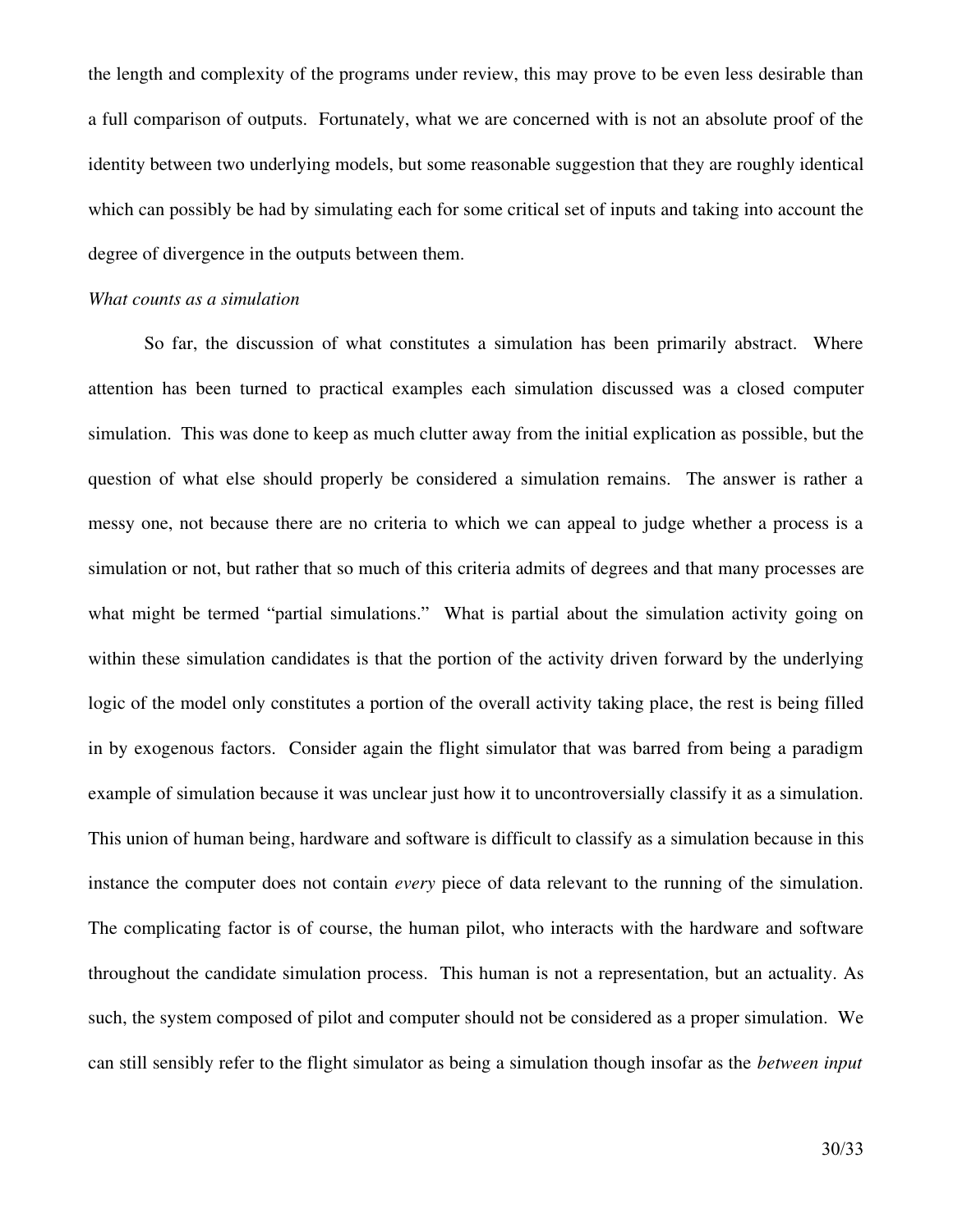the length and complexity of the programs under review, this may prove to be even less desirable than a full comparison of outputs. Fortunately, what we are concerned with is not an absolute proof of the identity between two underlying models, but some reasonable suggestion that they are roughly identical which can possibly be had by simulating each for some critical set of inputs and taking into account the degree of divergence in the outputs between them.

### *What counts as a simulation*

So far, the discussion of what constitutes a simulation has been primarily abstract. Where attention has been turned to practical examples each simulation discussed was a closed computer simulation. This was done to keep as much clutter away from the initial explication as possible, but the question of what else should properly be considered a simulation remains. The answer is rather a messy one, not because there are no criteria to which we can appeal to judge whether a process is a simulation or not, but rather that so much of this criteria admits of degrees and that many processes are what might be termed "partial simulations." What is partial about the simulation activity going on within these simulation candidates is that the portion of the activity driven forward by the underlying logic of the model only constitutes a portion of the overall activity taking place, the rest is being filled in by exogenous factors. Consider again the flight simulator that was barred from being a paradigm example of simulation because it was unclear just how it to uncontroversially classify it as a simulation. This union of human being, hardware and software is difficult to classify as a simulation because in this instance the computer does not contain *every* piece of data relevant to the running of the simulation. The complicating factor is of course, the human pilot, who interacts with the hardware and software throughout the candidate simulation process. This human is not a representation, but an actuality. As such, the system composed of pilot and computer should not be considered as a proper simulation. We can still sensibly refer to the flight simulator as being a simulation though insofar as the *between input*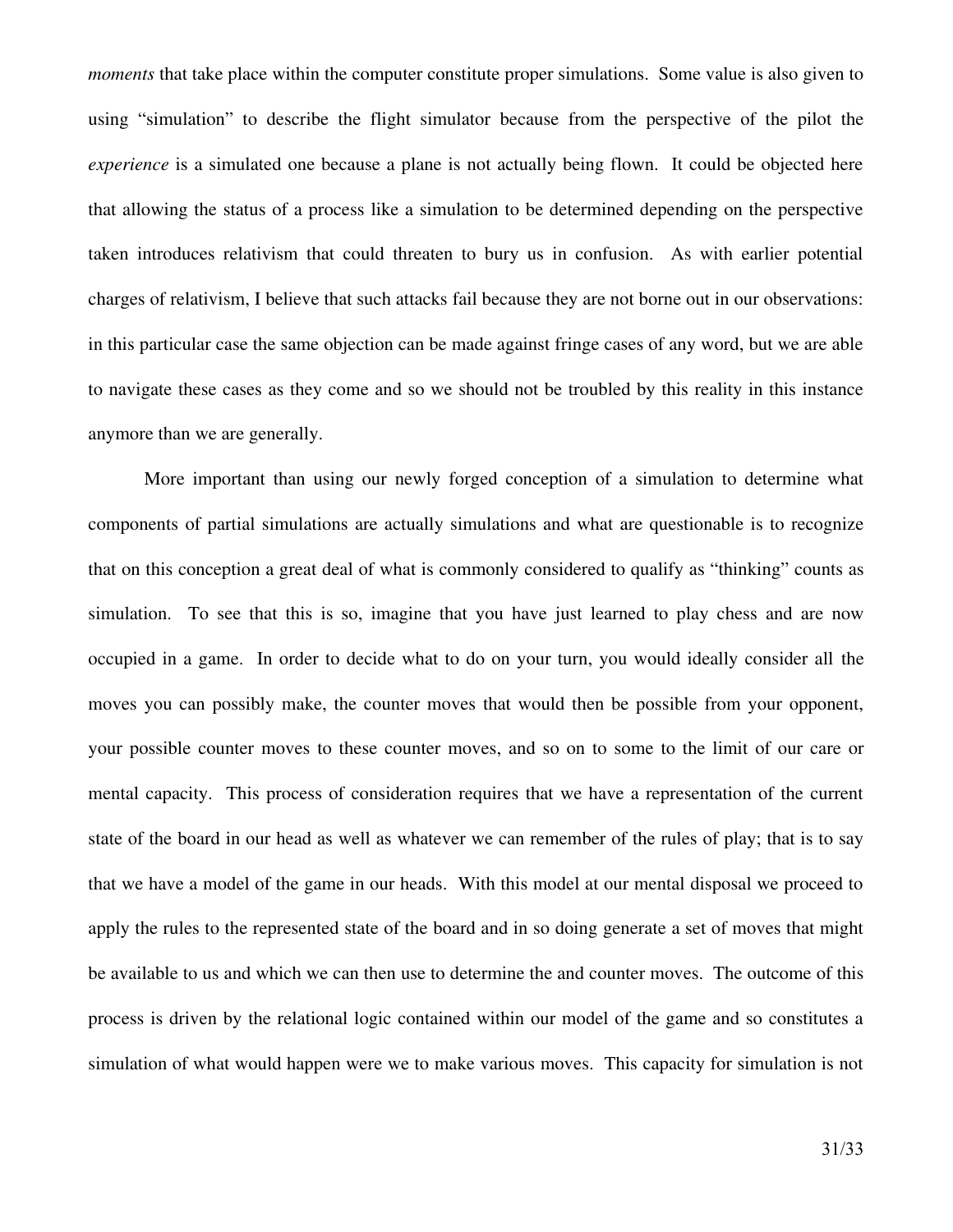*moments* that take place within the computer constitute proper simulations. Some value is also given to using "simulation" to describe the flight simulator because from the perspective of the pilot the *experience* is a simulated one because a plane is not actually being flown. It could be objected here that allowing the status of a process like a simulation to be determined depending on the perspective taken introduces relativism that could threaten to bury us in confusion. As with earlier potential charges of relativism, I believe that such attacks fail because they are not borne out in our observations: in this particular case the same objection can be made against fringe cases of any word, but we are able to navigate these cases as they come and so we should not be troubled by this reality in this instance anymore than we are generally.

More important than using our newly forged conception of a simulation to determine what components of partial simulations are actually simulations and what are questionable is to recognize that on this conception a great deal of what is commonly considered to qualify as "thinking" counts as simulation. To see that this is so, imagine that you have just learned to play chess and are now occupied in a game. In order to decide what to do on your turn, you would ideally consider all the moves you can possibly make, the counter moves that would then be possible from your opponent, your possible counter moves to these counter moves, and so on to some to the limit of our care or mental capacity. This process of consideration requires that we have a representation of the current state of the board in our head as well as whatever we can remember of the rules of play; that is to say that we have a model of the game in our heads. With this model at our mental disposal we proceed to apply the rules to the represented state of the board and in so doing generate a set of moves that might be available to us and which we can then use to determine the and counter moves. The outcome of this process is driven by the relational logic contained within our model of the game and so constitutes a simulation of what would happen were we to make various moves. This capacity for simulation is not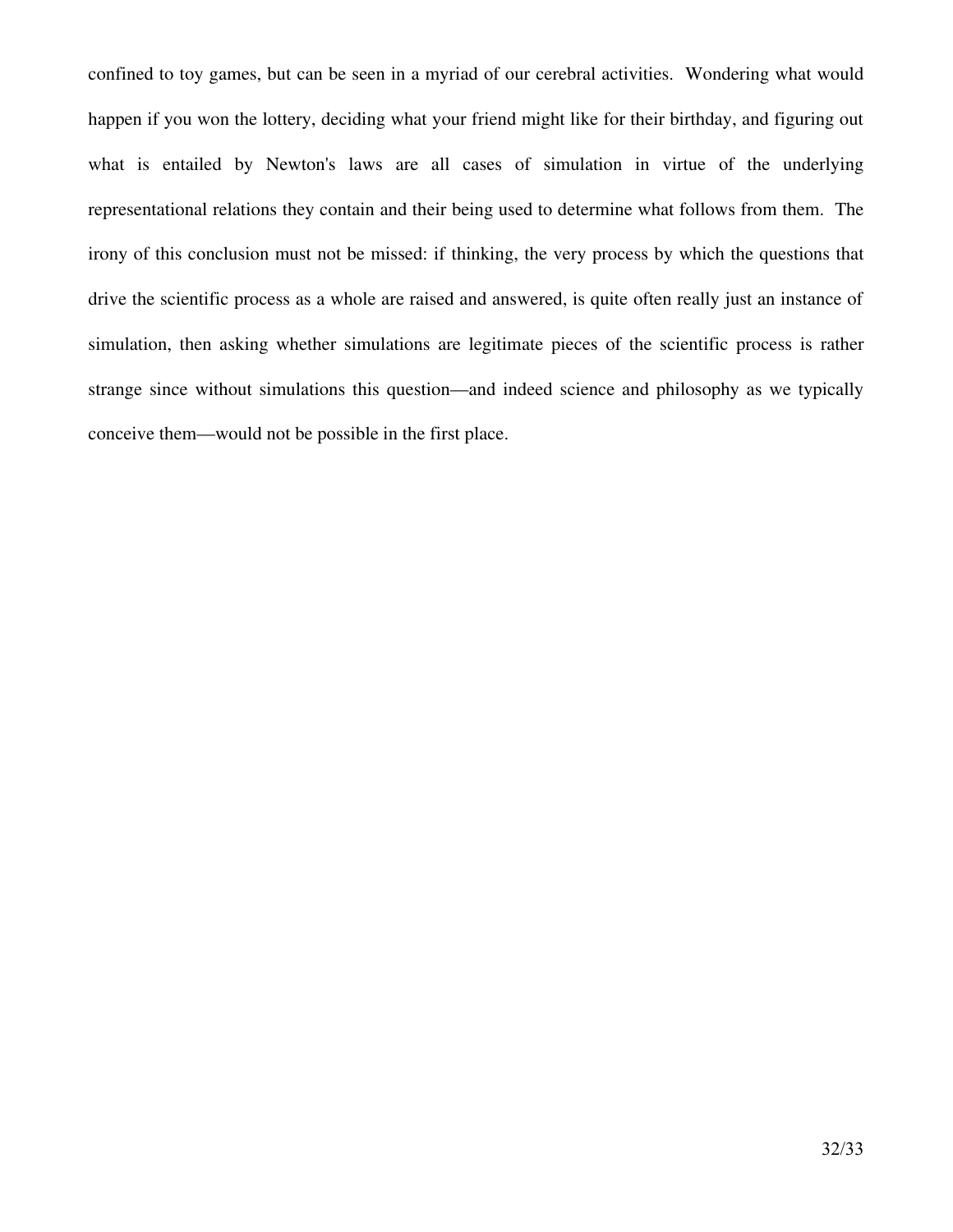confined to toy games, but can be seen in a myriad of our cerebral activities. Wondering what would happen if you won the lottery, deciding what your friend might like for their birthday, and figuring out what is entailed by Newton's laws are all cases of simulation in virtue of the underlying representational relations they contain and their being used to determine what follows from them. The irony of this conclusion must not be missed: if thinking, the very process by which the questions that drive the scientific process as a whole are raised and answered, is quite often really just an instance of simulation, then asking whether simulations are legitimate pieces of the scientific process is rather strange since without simulations this question—and indeed science and philosophy as we typically conceive them—would not be possible in the first place.